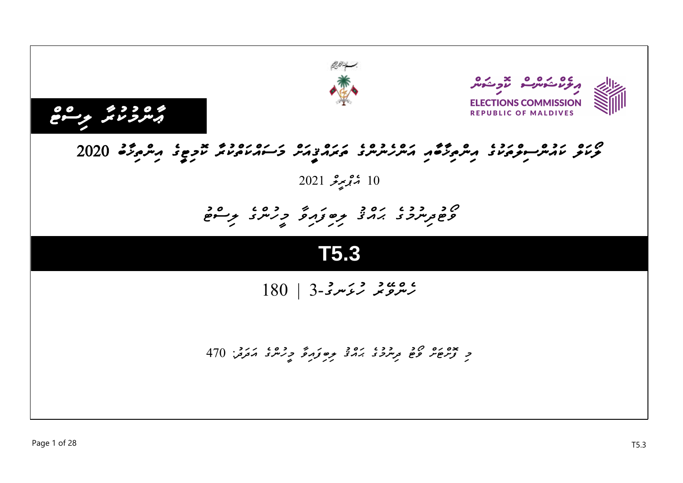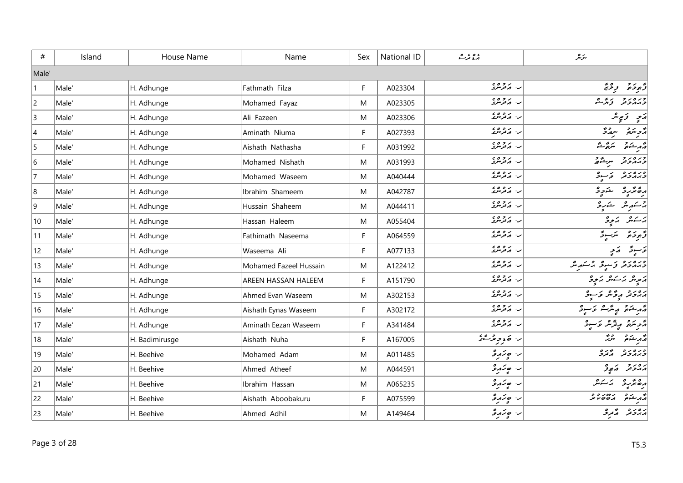| #              | Island | House Name     | Name                   | Sex | National ID | ، ه ، مر ه<br>د <u>،</u> بر ه  | ىئرىتر                                             |
|----------------|--------|----------------|------------------------|-----|-------------|--------------------------------|----------------------------------------------------|
| Male'          |        |                |                        |     |             |                                |                                                    |
| 1              | Male'  | H. Adhunge     | Fathmath Filza         | F   | A023304     | ر . مروه ه<br>ر . مرتوس        | قَهْ وَحَقَّ وَحْقَّ                               |
| 2              | Male'  | H. Adhunge     | Mohamed Fayaz          | M   | A023305     | ر . مرتوره ،                   | ورەر دەر                                           |
| $ 3\rangle$    | Male'  | H. Adhunge     | Ali Fazeen             | M   | A023306     | ر بروه د<br>ر برتوسری          | ړې زېږ                                             |
| $\overline{4}$ | Male'  | H. Adhunge     | Aminath Niuma          | F   | A027393     | ر . مروره و<br>ر . مرفوس       | ה ביתה יינה                                        |
| $\overline{5}$ | Male'  | H. Adhunge     | Aishath Nathasha       | F   | A031992     | ر دوه ،<br>ر په ترس            | أقرم شكوه المتعجمة                                 |
| $\overline{6}$ | Male'  | H. Adhunge     | Mohamed Nishath        | M   | A031993     | ر . مرتوره ،                   | ورەرو سرشور<br><i>وبەم</i> وتر سرشو <sub>ن</sub> و |
| $\vert$ 7      | Male'  | H. Adhunge     | Mohamed Waseem         | M   | A040444     | ر وه ه ه<br>ر . مرفرسری        | ورەر دىر                                           |
| 8              | Male'  | H. Adhunge     | Ibrahim Shameem        | M   | A042787     | ر . مروره و<br>ر . مرفوس       | رەترىرو شرەر                                       |
| 9              | Male'  | H. Adhunge     | Hussain Shaheem        | M   | A044411     | ر . مروه ه<br>ر . مرفرسری      | جەستەر شەھ ئىشرىي                                  |
| 10             | Male'  | H. Adhunge     | Hassan Haleem          | M   | A055404     | ر . مروره و<br>ر . مرفوس       | ىز سەھ ئەبەر                                       |
| 11             | Male'  | H. Adhunge     | Fathimath Naseema      | F   | A064559     | ر دوه ،<br>ر پرترس             | ۇي <sub>م</sub> وڭ ئىرسىدۇ                         |
| 12             | Male'  | H. Adhunge     | Waseema Ali            | F   | A077133     | ر . مروره و<br>ر . مرفوس       | ۇسىۋە كەيپ                                         |
| 13             | Male'  | H. Adhunge     | Mohamed Fazeel Hussain | M   | A122412     | ر دوه ،<br>ر پرترس             | ورەرو كەنبو چەكەر                                  |
| 14             | Male'  | H. Adhunge     | AREEN HASSAN HALEEM    | F   | A151790     | ر . مروه ه<br>ر . مرفرسری      | ړېږ پر ده رکړو                                     |
| 15             | Male'  | H. Adhunge     | Ahmed Evan Waseem      | M   | A302153     | ر دوه ،<br>ر پرترس             | رەر دە بەھەر كەسو                                  |
| 16             | Male'  | H. Adhunge     | Aishath Eynas Waseem   | F   | A302172     | ر . مروه ه<br>ر . مرفرسری      | ۇرىئە پەر ئى                                       |
| 17             | Male'  | H. Adhunge     | Aminath Eezan Waseem   | F   | A341484     | ر . مروه <i>ه</i><br>ر . مرتوس | مزويتم منتزعر وسنو                                 |
| 18             | Male'  | H. Badimirusge | Aishath Nuha           | F   | A167005     | ر که د د پر شو د               | و مرکز دیگر<br>مرکز مرکز                           |
| 19             | Male'  | H. Beehive     | Mohamed Adam           | M   | A011485     | ر ، ھەئەرقە                    | وره رو په ره<br><i>وبرو</i> ونو م <i>ې</i> ترو     |
| 20             | Male'  | H. Beehive     | Ahmed Atheef           | M   | A044591     | ر، ھەنەرقە                     | أرور ويدو                                          |
| 21             | Male'  | H. Beehive     | Ibrahim Hassan         | M   | A065235     | ر، ھەنەرقە                     | رەپزىر بىسكىر                                      |
| 22             | Male'  | H. Beehive     | Aishath Aboobakuru     | F   | A075599     | ر ، ھەنەر ۋ                    | 22/32/22/24                                        |
| 23             | Male'  | H. Beehive     | Ahmed Adhil            | M   | A149464     | ر ، ھەنەرقە                    | برەر ئە ئەرۋ                                       |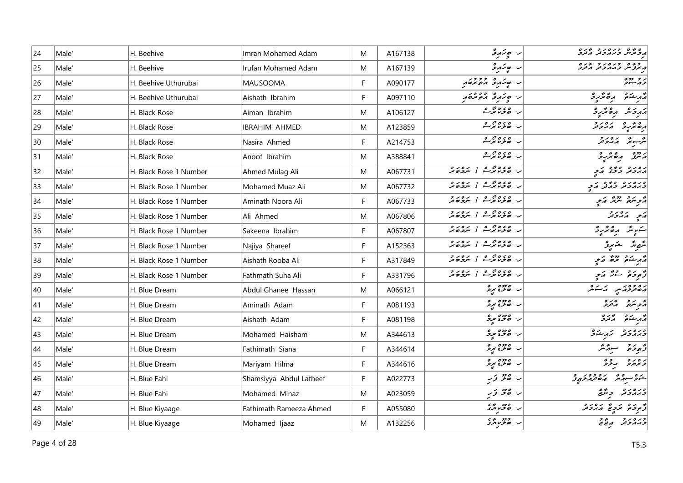| 24 | Male' | H. Beehive             | Imran Mohamed Adam      | M  | A167138 | ر. ھِرُوڤ                        | ם זים - כנסגב - זינם<br>נגב זניינג בגמבית ומינב                      |
|----|-------|------------------------|-------------------------|----|---------|----------------------------------|----------------------------------------------------------------------|
| 25 | Male' | H. Beehive             | Irufan Mohamed Adam     | M  | A167139 | ر. جەنگە ۋ                       | و ده و دره در و دره                                                  |
| 26 | Male' | H. Beehive Uthurubai   | <b>MAUSOOMA</b>         | F  | A090177 |                                  | ر د دو                                                               |
| 27 | Male' | H. Beehive Uthurubai   | Aishath Ibrahim         | F. | A097110 | Jexen en e                       | پھر شدھ<br>ەھ ئۈرۈ                                                   |
| 28 | Male' | H. Black Rose          | Aiman Ibrahim           | M  | A106127 | ر. ھۈرىرى                        | ە ھەمەر 2<br>برەنجەر 2<br>وَمِردَ مَثَر                              |
| 29 | Male' | H. Black Rose          | IBRAHIM AHMED           | M  | A123859 | ر. ھۈرىرى                        | ەر ھەئرىر <sup>ى</sup><br>بر ہ بر د<br>م <i>ر</i> بر <del>د</del> تر |
| 30 | Male' | H. Black Rose          | Nasira Ahmed            | F. | A214753 | ر. ھۈرىرىش                       | شهوش مره د و                                                         |
| 31 | Male' | H. Black Rose          | Anoof Ibrahim           | M  | A388841 | ر. ھۈرىرىشە                      | أردوه وه عربه                                                        |
| 32 | Male' | H. Black Rose 1 Number | Ahmed Mulag Ali         | M  | A067731 | ، ۶٬۰۵۵ _ مرد د                  | رەرد دىۋە كەر                                                        |
| 33 | Male' | H. Black Rose 1 Number | Mohamed Muaz Ali        | M  | A067732 | ، ۶٬۰۰۵ ] پره در                 | وره رو ووو در                                                        |
| 34 | Male' | H. Black Rose 1 Number | Aminath Noora Ali       | F. | A067733 | ه <i>۲۰۰۶ و برور د</i>           | أأدوسكم التركير أيكمح                                                |
| 35 | Male' | H. Black Rose 1 Number | Ali Ahmed               | M  | A067806 | ، وړومی و ایرومړ                 | أقدم المردوس                                                         |
| 36 | Male' | H. Black Rose 1 Number | Sakeena Ibrahim         | F. | A067807 | . ٥٥٥٥٩ و رورو                   | سَرِينَ رِهْنَرِ دِ                                                  |
| 37 | Male' | H. Black Rose 1 Number | Najiya Shareef          | F  | A152363 | ، ۵٫۰۰۵ و پره د                  | شھوش ڪوسرگر                                                          |
| 38 | Male' | H. Black Rose 1 Number | Aishath Rooba Ali       | F  | A317849 | ، ۶٬۰۰۵ و پره در                 | أور شوه الرحم وكامح                                                  |
| 39 | Male' | H. Black Rose 1 Number | Fathmath Suha Ali       | F. | A331796 | ه <i>۲۰۰۵ و له ۱۰۰۶ ور</i> و     | أزوده لتكريمو                                                        |
| 40 | Male' | H. Blue Dream          | Abdul Ghanee Hassan     | M  | A066121 | ر . ۰۵ وه و .<br>ر . حامۍ نامبرد | رەدەرىر برىكىر                                                       |
| 41 | Male' | H. Blue Dream          | Aminath Adam            | F. | A081193 | $0.070$<br>$20.20$               | أأترجع أتروه                                                         |
| 42 | Male' | H. Blue Dream          | Aishath Adam            | F  | A081198 | ر. ۱۳۵۵ و.<br>ر. گامونا مور      | ه دشته و دره                                                         |
| 43 | Male' | H. Blue Dream          | Mohamed Haisham         | M  | A344613 | ر. ۰۶۵۵ وه<br>ر. ۶۶۵ وگ          | ورەرو كەخۇ                                                           |
| 44 | Male' | H. Blue Dream          | Fathimath Siana         | F  | A344614 | ر. ۰۶۵۵ و.<br>ر. ۶۶۵ برو         | أزَّهِ دَهُ مَسَرَّسَهُ                                              |
| 45 | Male' | H. Blue Dream          | Mariyam Hilma           | F. | A344616 | ر. ۱۵۶۶ مرد                      | د ه د ه په د و                                                       |
| 46 | Male' | H. Blue Fahi           | Shamsiyya Abdul Latheef | F  | A022773 | ر، 20 ق پ                        | شوه سهره ره ده ده و                                                  |
| 47 | Male' | H. Blue Fahi           | Mohamed Minaz           | M  | A023059 | ر، 20 ۇر                         | ورور و شي                                                            |
| 48 | Male' | H. Blue Kiyaage        | Fathimath Rameeza Ahmed | F. | A055080 | ה בכנית.<br>ה פיציות.            | توجوجو برجع مرورد                                                    |
| 49 | Male' | H. Blue Kiyaage        | Mohamed Ijaaz           | M  | A132256 | ה כדו כן<br>ה סיבטחב             | בגםגב היביב                                                          |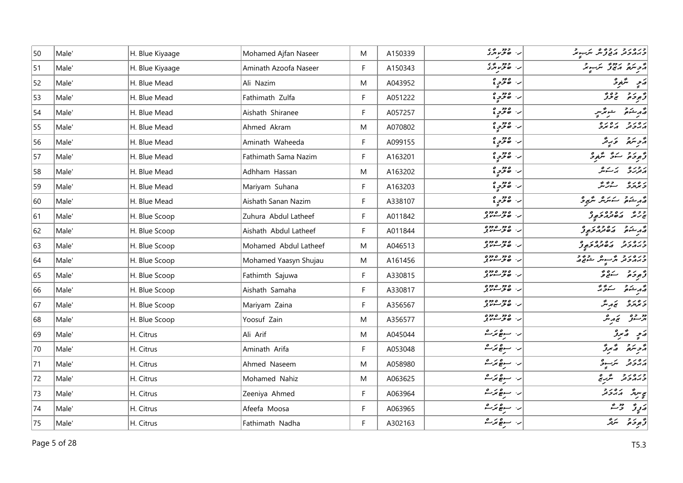| 50 | Male' | H. Blue Kiyaage | Mohamed Ajfan Naseer  | M  | A150339 | ה כבני כב<br>ה פיציות ב                 | ورەرو روۋى ئىبابۇ                           |
|----|-------|-----------------|-----------------------|----|---------|-----------------------------------------|---------------------------------------------|
| 51 | Male' | H. Blue Kiyaage | Aminath Azoofa Naseer | F  | A150343 | ה כדו בה<br>ה- <b>סיב</b> מו <i>ת</i> ב | ל ני ידור ליירות ב                          |
| 52 | Male' | H. Blue Mead    | Ali Nazim             | M  | A043952 | ر، ھوچ<br>ر، ھوچ                        | ړې ش <sub>غو</sub> ه<br>مړ                  |
| 53 | Male' | H. Blue Mead    | Fathimath Zulfa       | F  | A051222 | $\frac{1}{2}$                           | تورزه ده                                    |
| 54 | Male' | H. Blue Mead    | Aishath Shiranee      | F  | A057257 | ر، ھڙجءَ                                | ۇرمۇم سىرگىر                                |
| 55 | Male' | H. Blue Mead    | Ahmed Akram           | M  | A070802 | ر، صور و<br>ر، صور و                    | גם גם גם גם<br>הגבת העיבר                   |
| 56 | Male' | H. Blue Mead    | Aminath Waheeda       | F  | A099155 | ر، صور و<br>ر، صور و                    | أأزحر سكرة وتحريقه                          |
| 57 | Male' | H. Blue Mead    | Fathimath Sama Nazim  | F  | A163201 | ر، ھوچ ہی                               | توجوحو سكرمح متزجره                         |
| 58 | Male' | H. Blue Mead    | Adhham Hassan         | M  | A163202 | ر. ھڙجءَ                                | روره پرسکر                                  |
| 59 | Male' | H. Blue Mead    | Mariyam Suhana        | F  | A163203 | ر، ھوچ ہی                               | رەرە يەشر                                   |
| 60 | Male' | H. Blue Mead    | Aishath Sanan Nazim   | F  | A338107 | ر. ھڙجءَ                                | ۇرىشكى سىكرىكر ئىگىجى ئ                     |
| 61 | Male' | H. Blue Scoop   | Zuhura Abdul Latheef  | F  | A011842 | ە « ە«ە<br>ر. ھۈسىر                     | ووي دە دەرى                                 |
| 62 | Male' | H. Blue Scoop   | Aishath Abdul Latheef | F  | A011844 | ە دو دە دە<br>ر. ھۈسىمبۇ                | و در ده ده ده در و                          |
| 63 | Male' | H. Blue Scoop   | Mohamed Abdul Latheef | M  | A046513 | ە دە دە دە<br>رەھىسىرى                  | ورەر د رەدەر<br><i>دىد</i> مەدىر مەھىرمىزمۇ |
| 64 | Male' | H. Blue Scoop   | Mohamed Yaasyn Shujau | M  | A161456 | ە دە دە دە<br>ر. ھۈسىدى <sub>ل</sub>    | ورەرو ئۆسەش شەقەر                           |
| 65 | Male' | H. Blue Scoop   | Fathimth Sajuwa       | F  | A330815 | ە دە دە دە<br>ر. ھۈسىم بى               | ژ <sub>م</sub> وڅو سنه و                    |
| 66 | Male' | H. Blue Scoop   | Aishath Samaha        | F. | A330817 | ە دە دە دە<br>ر. ھۈسىر                  | وكرمشتم سترجم                               |
| 67 | Male' | H. Blue Scoop   | Mariyam Zaina         | F  | A356567 | ه دو ۱۶۶۵<br>ر. گاموسور                 | و مرده تم مرتگر                             |
| 68 | Male' | H. Blue Scoop   | Yoosuf Zain           | M  | A356577 | ە « » » »<br>ر ۰ ھۈسىر                  | أترجيح تجديثه                               |
| 69 | Male' | H. Citrus       | Ali Arif              | M  | A045044 | ار. سوء پر قر                           | ړنې په تړنو                                 |
| 70 | Male' | H. Citrus       | Aminath Arifa         | F  | A053048 | $\frac{1}{2}$                           | أأدبتكم الأمراثي                            |
| 71 | Male' | H. Citrus       | Ahmed Naseem          | M  | A058980 | ر. سوءٍ پَرَتْ                          | أرەر بر سربو                                |
| 72 | Male' | H. Citrus       | Mohamed Nahiz         | M  | A063625 | ر. سوء برگ                              | ورەرو شرح                                   |
| 73 | Male' | H. Citrus       | Zeeniya Ahmed         | F  | A063964 | ر. سوءٍ پُرَ شَہ                        | ەر دىر<br>ىي <sub>چ</sub> ىرىدىگە           |
| 74 | Male' | H. Citrus       | Afeefa Moosa          | F. | A063965 | ر، سوءٍ پَرَتْ                          | ەربۇ<br>دين مشر                             |
| 75 | Male' | H. Citrus       | Fathimath Nadha       | F  | A302163 | ار. سوھ پر م                            | وٌجوحَعَ سَرَمَّرُ                          |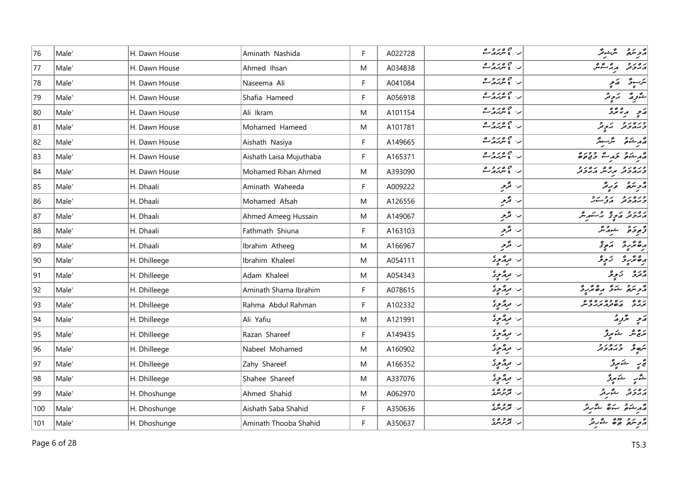| 76  | Male' | H. Dawn House | Aminath Nashida         | F  | A022728 | ر، عور مرد م                   | أأرمح يتكوم المتكل والمحر                     |
|-----|-------|---------------|-------------------------|----|---------|--------------------------------|-----------------------------------------------|
|     |       |               |                         |    |         | ر. ؟ مركز كر م                 | ەر بۇ شەھر                                    |
| 77  | Male' | H. Dawn House | Ahmed Ihsan             | M  | A034838 |                                | بره بر د<br>مرگر فر                           |
| 78  | Male' | H. Dawn House | Naseema Ali             | F  | A041084 | ر، ۽ مريز ۾ ه                  | لترسوقه<br>رځمنې                              |
| 79  | Male' | H. Dawn House | Shafia Hameed           | F. | A056918 | ر. ؟ مركز دعم                  | شَرُو پُر<br>برَحٍ قر                         |
| 80  | Male' | H. Dawn House | Ali Ikram               | M  | A101154 | ر، ممبر پر ژو                  | ړې رمړيو                                      |
| 81  | Male' | H. Dawn House | Mohamed Hameed          | M  | A101781 | ر، ع مربر د ه<br>ر، ع مربر د گ | ورەرو كەچ                                     |
| 82  | Male' | H. Dawn House | Aishath Nasiya          | F  | A149665 | ر، ع عربه ده ه                 | ۇرمىشى ئىر ئىشىدۇ                             |
| 83  | Male' | H. Dawn House | Aishath Laisa Mujuthaba | F  | A165371 | ر. ؟ مركز كر م                 | أثار شده تزر شده ودره                         |
| 84  | Male' | H. Dawn House | Mohamed Rihan Ahmed     | M  | A393090 | ر. ۽ مرير ۾ گ                  | وره روسره ره رو                               |
| 85  | Male' | H. Dhaali     | Aminath Waheeda         | F  | A009222 | ر کمبر تو                      | أزويتم قاريته                                 |
| 86  | Male' | H. Dhaali     | Mohamed Afsah           | M  | A126556 | ترًو<br>ر.                     | בגם בב גלביל                                  |
| 87  | Male' | H. Dhaali     | Ahmed Ameeg Hussain     | M  | A149067 | ر<br>پر وگرمو                  | رەرد كەچ ئەسەر                                |
| 88  | Male' | H. Dhaali     | Fathmath Shiuna         | F  | A163103 | ر کمپو                         | توجوختم سورمتر                                |
| 89  | Male' | H. Dhaali     | Ibrahim Atheeg          | M  | A166967 | ر. ترٌمِ                       | مەھەرىرى مەر                                  |
| 90  | Male' | H. Dhilleege  | Ibrahim Khaleel         | M  | A054111 | ر. مرو <sub>حی</sub> و<br>م    | رەتزىر ئىچى                                   |
| 91  | Male' | H. Dhilleege  | Adam Khaleel            | M  | A054343 | ر . مروکم پر کا                | أزيره زريد                                    |
| 92  | Male' | H. Dhilleege  | Aminath Shama Ibrahim   | F  | A078615 | ر . مروکم پر کا                |                                               |
| 93  | Male' | H. Dhilleege  | Rahma Abdul Rahman      | F. | A102332 |                                | ر ه و ه ر ه د ه<br>پره تر پر پر تر س<br>برەپچ |
| 94  | Male' | H. Dhilleege  | Ali Yafiu               | M  | A121991 | ر . مروکو دی                   | ړې پروړ                                       |
| 95  | Male' | H. Dhilleege  | Razan Shareef           | F  | A149435 | ر . مرور مح<br>مستقر           | برە ھ <sub>ى</sub> ھەمرى                      |
| 96  | Male' | H. Dhilleege  | Nabeel Mohamed          | M  | A160902 | ر. مرو <sub>حی</sub> و<br>م    | و ره ر و<br>تر پر ژ تر<br>سكەنتى              |
| 97  | Male' | H. Dhilleege  | Zahy Shareef            | M  | A166352 | ر . مروکو ی                    | چ <sub>س</sub> ے مذہر و<br>م                  |
| 98  | Male' | H. Dhilleege  | Shahee Shareef          | M  | A337076 | ر . مروکم پر کا                | لمشر المشهر و<br>المشر                        |
| 99  | Male' | H. Dhoshunge  | Ahmed Shahid            | M  | A062970 | ر. بود ه د<br>ر. ترىرىنزى      | رەرد شەرىر                                    |
| 100 | Male' | H. Dhoshunge  | Aishath Saba Shahid     | F. | A350636 | ر. مووه د<br>ر. تونونتون       | د در دره سره شرد                              |
| 101 | Male' | H. Dhoshunge  | Aminath Thooba Shahid   | F  | A350637 | ر. بود و ه ،<br>ر. ترىرىرى     |                                               |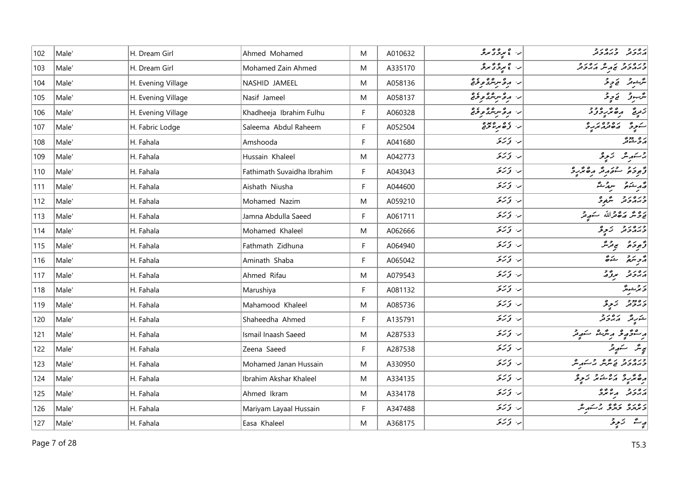| 102 | Male' | H. Dream Girl      | Ahmed Mohamed              | M  | A010632 | ر، ۽ بروگريزو        | ג סג כ כג סג כ                                                      |
|-----|-------|--------------------|----------------------------|----|---------|----------------------|---------------------------------------------------------------------|
| 103 | Male' | H. Dream Girl      | Mohamed Zain Ahmed         | M  | A335170 | ر، ۽ بروگرگر         | כנסגב גם גםגב<br>כג' גבע הקייל הגבע                                 |
| 104 | Male' | H. Evening Village | NASHID JAMEEL              | M  | A058136 | ر و و مر مربوع و د د | شرشوش كے ترٍ تحر                                                    |
| 105 | Male' | H. Evening Village | Nasif Jameel               | M  | A058137 | ر رو مرمرو و ده      | أُمَّرُ سِبِيرٌ فَيَا فِي فَرْ                                      |
| 106 | Male' | H. Evening Village | Khadheeja Ibrahim Fulhu    | F  | A060328 | ر رو مرمرو و ده      | ترميعً ماه محمد وود                                                 |
| 107 | Male' | H. Fabric Lodge    | Saleema Abdul Raheem       | F  | A052504 | ر و و هم ره بوه      | C 10701 27-                                                         |
| 108 | Male' | H. Fahala          | Amshooda                   | F  | A041680 | ر . ۇرَى             | ر ٥ - دور<br>در ۶ - شوتر                                            |
| 109 | Male' | H. Fahala          | Hussain Khaleel            | M  | A042773 | ر . قرری             | يزخير شران للمحيض                                                   |
| 110 | Male' | H. Fahala          | Fathimath Suvaidha Ibrahim | F  | A043043 | ر . قرری             | توجود مستورشه مصر                                                   |
| 111 | Male' | H. Fahala          | Aishath Niusha             | F  | A044600 | ر، ۆزى               | أقرم شوقم سرقم شو                                                   |
| 112 | Male' | H. Fahala          | Mohamed Nazim              | M  | A059210 | ر، ق55               | ورەرو ئەرە                                                          |
| 113 | Male' | H. Fahala          | Jamna Abdulla Saeed        | F  | A061711 | ر . ۇرى              | يره بر بره قرالله كريد                                              |
| 114 | Male' | H. Fahala          | Mohamed Khaleel            | M  | A062666 | ر . قرری             | ورەرو زېږو                                                          |
| 115 | Male' | H. Fahala          | Fathmath Zidhuna           | F  | A064940 | ر . ۇرُو             | قَە ئۇچ ئەر ئىس                                                     |
| 116 | Male' | H. Fahala          | Aminath Shaba              | F  | A065042 | ر . ۇرُو             | أرتح سنقاقة المشاقة المستحدة المتحدة المتعارض                       |
| 117 | Male' | H. Fahala          | Ahmed Rifau                | M  | A079543 | ر . قرری             | د ه د د پروګه                                                       |
| 118 | Male' | H. Fahala          | Marushiya                  | F. | A081132 | ر، ق53               | ئەئىر شەھر                                                          |
| 119 | Male' | H. Fahala          | Mahamood Khaleel           | M  | A085736 | ر . قرری             | دەدە دې تەرى                                                        |
| 120 | Male' | H. Fahala          | Shaheedha Ahmed            | F. | A135791 | ر . ۇرى              | أشكريم أحمده                                                        |
| 121 | Male' | H. Fahala          | Ismail Inaash Saeed        | M  | A287533 | ر . ۇرۇ              | ر مۇھرى مەشمە سىمدىر<br>مەسىر بىر مەسىر مەسىر مەسىر<br>ئى سىر مەسىر |
| 122 | Male' | H. Fahala          | Zeena Saeed                | F  | A287538 | ر . قرری             |                                                                     |
| 123 | Male' | H. Fahala          | Mohamed Janan Hussain      | M  | A330950 | ر . ۇرىخ             | ورەرو روم دېره                                                      |
| 124 | Male' | H. Fahala          | Ibrahim Akshar Khaleel     | M  | A334135 | ر . قرری             | رەپرە مەشىر ئېرو                                                    |
| 125 | Male' | H. Fahala          | Ahmed Ikram                | M  | A334178 | ر، ق53               | גפנק השיתכ                                                          |
| 126 | Male' | H. Fahala          | Mariyam Layaal Hussain     | F  | A347488 | ر . ۇرَى             |                                                                     |
| 127 | Male' | H. Fahala          | Easa Khaleel               | M  | A368175 | ر . قرری             | پرسته - کاموتی                                                      |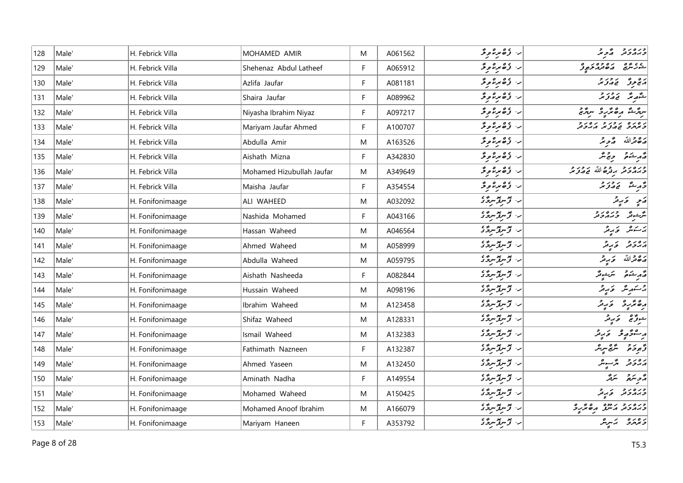| 128 | Male' | H. Febrick Villa | MOHAMED AMIR              | M           | A061562 | ر ، ۋە برىئو ۋ       | ور ٥ د ۶ و د                                                                   |
|-----|-------|------------------|---------------------------|-------------|---------|----------------------|--------------------------------------------------------------------------------|
| 129 | Male' | H. Febrick Villa | Shehenaz Abdul Latheef    | F           | A065912 | ر . ۇھېرىئوقە        | 22 <i>2020 د 2020 وه</i><br>شرکتری مصر مرکز می                                 |
| 130 | Male' | H. Febrick Villa | Azlifa Jaufar             | $\mathsf F$ | A081181 | ر . ۇھېرىئوقە        | أزع ووالمن وأوالا                                                              |
| 131 | Male' | H. Febrick Villa | Shaira Jaufar             | F           | A089962 | ر . ۇھىرىئوقە        | شەر ئەرزىر                                                                     |
| 132 | Male' | H. Febrick Villa | Niyasha Ibrahim Niyaz     | F           | A097217 | ر . ۇھېرىئوقە        | سرمر شو معاند و مرمر من                                                        |
| 133 | Male' | H. Febrick Villa | Mariyam Jaufar Ahmed      | $\mathsf F$ | A100707 | ر. دەمدىئامەت        | נסנס נכנכ נסנכ<br>בינו <i>נ</i> ב <u>בהצי</u> ג הגבת                           |
| 134 | Male' | H. Febrick Villa | Abdulla Amir              | M           | A163526 | ر. دەمدىئوچ          | مَصْعَراللّه مُحْجِمَة                                                         |
| 135 | Male' | H. Febrick Villa | Aishath Mizna             | F           | A342830 | ر. دەمرىئور          | أقهر مشكرة وتحامد                                                              |
| 136 | Male' | H. Febrick Villa | Mohamed Hizubullah Jaufar | M           | A349649 | ر . ۇھېرىئوقە        | وره رو بروج الله ت <i>وه و د</i><br><i>وبرو دو بر</i> نر <i>ه</i> الله تورو بر |
| 137 | Male' | H. Febrick Villa | Maisha Jaufar             | F           | A354554 | ر. دۇھىرىئورگ        | وَّمَرِ مِنْ مَعْ وَكَرْ مِنْ                                                  |
| 138 | Male' | H. Fonifonimaage | ALI WAHEED                | M           | A032092 | ر. ژىبرژىبرۇ،        | أتكمج أتكمي تحكيم                                                              |
| 139 | Male' | H. Fonifonimaage | Nashida Mohamed           | F           | A043166 | ر. ئۇستەسرىدى        | مترَىشوتىر<br>و ره ر و<br>تر پر ژفر                                            |
| 140 | Male' | H. Fonifonimaage | Hassan Waheed             | M           | A046564 | ر. توسیر سرچائی      | برسكش الحريانير                                                                |
| 141 | Male' | H. Fonifonimaage | Ahmed Waheed              | M           | A058999 | ر. تر متر متر مرتز د | أترورو أوبرو                                                                   |
| 142 | Male' | H. Fonifonimaage | Abdulla Waheed            | M           | A059795 | ر. ژىيرترىيزى        | پره مرالله ځ سومر                                                              |
| 143 | Male' | H. Fonifonimaage | Aishath Nasheeda          | F           | A082844 | ر. زمير تير ترگه د   | ر<br><i>ماه مشومی مرکب و</i> گر                                                |
| 144 | Male' | H. Fonifonimaage | Hussain Waheed            | M           | A098196 | ر. ژىبرژىبرۇغ        | يزحكم مراقر                                                                    |
| 145 | Male' | H. Fonifonimaage | Ibrahim Waheed            | M           | A123458 | ر. زمینویسرد د       | ەر ھەتمەر 2<br>ب<br>ءَ پرتر                                                    |
| 146 | Male' | H. Fonifonimaage | Shifaz Waheed             | M           | A128331 | ر. ئۇستەسرىدى        | اڪوڙيج<br>پ<br>ئە بەر<br>ئ                                                     |
| 147 | Male' | H. Fonifonimaage | Ismail Waheed             | M           | A132383 | ر. زمینو سرگز        | ر شۇر ئۇيى                                                                     |
| 148 | Male' | H. Fonifonimaage | Fathimath Nazneen         | F           | A132387 | ر. توسیر سرچاقی      | ۇي <sub>م</sub> وڭ <sub>ۇ</sub> شھىرىتر                                        |
| 149 | Male' | H. Fonifonimaage | Ahmed Yaseen              | M           | A132450 | ر. ژىيرترىيزى        | رەرد گرىبىر                                                                    |
| 150 | Male' | H. Fonifonimaage | Aminath Nadha             | F.          | A149554 | ر. تۆستەسىردى        | ړٌ پر پر کر                                                                    |
| 151 | Male' | H. Fonifonimaage | Mohamed Waheed            | M           | A150425 | ر. زمینو سرد دی      | ورەرو كەيتر                                                                    |
| 152 | Male' | H. Fonifonimaage | Mohamed Anoof Ibrahim     | M           | A166079 | ر. ئۇستەسرۇقى        | כנסגב גיבס גם הביק                                                             |
| 153 | Male' | H. Fonifonimaage | Mariyam Haneen            | F           | A353792 | ر. ئۇستۇسرىگەنج      | ويواده الكامريكل                                                               |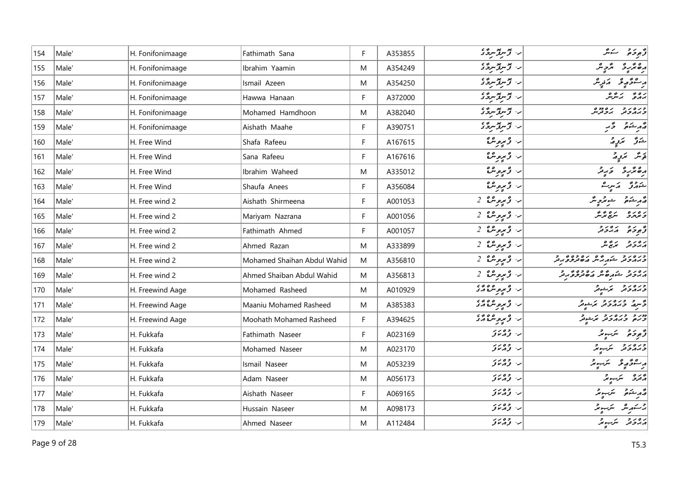| 154 | Male' | H. Fonifonimaage | Fathimath Sana              | F  | A353855 | ر. زمیر میرسردگی   | قۇچۇخۇ سەنىڭە                                                                                                                                                                                                                      |
|-----|-------|------------------|-----------------------------|----|---------|--------------------|------------------------------------------------------------------------------------------------------------------------------------------------------------------------------------------------------------------------------------|
| 155 | Male' | H. Fonifonimaage | Ibrahim Yaamin              | M  | A354249 | ر بیخسر پیرسر پخو  | رەنگرى ئۇچىگە                                                                                                                                                                                                                      |
| 156 | Male' | H. Fonifonimaage | Ismail Azeen                | M  | A354250 | ر. زمین مردمی      |                                                                                                                                                                                                                                    |
| 157 | Male' | H. Fonifonimaage | Hawwa Hanaan                | F  | A372000 | ر. زمین مردمی      | رەپ رىر                                                                                                                                                                                                                            |
| 158 | Male' | H. Fonifonimaage | Mohamed Hamdhoon            | M  | A382040 | ر. ژمېزمېردگو      | وره رو دره دوه<br><i>و برم</i> رونر برونرس                                                                                                                                                                                         |
| 159 | Male' | H. Fonifonimaage | Aishath Maahe               | F  | A390751 | ر. زمین مردم دی    | $\frac{2}{3}$ $\frac{2}{3}$ $\frac{1}{3}$                                                                                                                                                                                          |
| 160 | Male' | H. Free Wind     | Shafa Rafeeu                | F  | A167615 | ر و مروش؟          | أَحْتَوْ أَنْتَمَرُوهُ                                                                                                                                                                                                             |
| 161 | Male' | H. Free Wind     | Sana Rafeeu                 | F  | A167616 | ر و مروش؟          | لا مدار مدار مدار به مدار به مدار به است.<br>مدار به مدار برگزار به مدار به مدار به برگزار به ایران برگزار به مدار به مدار به مدار به مدار به مدار به مدار<br>مدار به مدار به مدار به مدار به مدار به مدار به مدار به مدار به مدار |
| 162 | Male' | H. Free Wind     | Ibrahim Waheed              | M  | A335012 | ر. ۇىروشگ          |                                                                                                                                                                                                                                    |
| 163 | Male' | H. Free Wind     | Shaufa Anees                | F  | A356084 | ر. ۇ برە بىر:      | أخور مجمع المستحقق وتحريب                                                                                                                                                                                                          |
| 164 | Male' | H. Free wind 2   | Aishath Shirmeena           | F  | A001053 | ر. ژىپەمىن 2       | وكرمشكي سيترونكر                                                                                                                                                                                                                   |
| 165 | Male' | H. Free wind 2   | Mariyam Nazrana             | F  | A001056 | ر. ۋىروشۇ 2        | ىر 2 مۇبىر<br>ر ه ر ه<br><del>د</del> بربرگ                                                                                                                                                                                        |
| 166 | Male' | H. Free wind 2   | Fathimath Ahmed             | F  | A001057 | ر. ۋىرەپىن 2       | و دو ده دور                                                                                                                                                                                                                        |
| 167 | Male' | H. Free wind 2   | Ahmed Razan                 | M  | A333899 | ر. ۋىروشى 2        | رەرد روم                                                                                                                                                                                                                           |
| 168 | Male' | H. Free wind 2   | Mohamed Shaihan Abdul Wahid | M  | A356810 | ر. ومروشا 2        | 37075 شهر من 20105 -<br>3705 تشهر من مان و مان بر مان بر                                                                                                                                                                           |
| 169 | Male' | H. Free wind 2   | Ahmed Shaiban Abdul Wahid   | M  | A356813 | $2$ ومروشا $\sim$  | ره روسته ره مده وروستور در است.<br>مدروند ت کمره شرکت در مورد ور                                                                                                                                                                   |
| 170 | Male' | H. Freewind Aage | Mohamed Rasheed             | M  | A010929 | ~ ژېږه په ۱۳۶۵     | وره رو کرشونر<br>د بر بر ک                                                                                                                                                                                                         |
| 171 | Male' | H. Freewind Aage | Maaniu Mohamed Rasheed      | M  | A385383 | ~ ژىپەمەمە         | وحمير ورورو برشوتر                                                                                                                                                                                                                 |
| 172 | Male' | H. Freewind Aage | Moohath Mohamed Rasheed     | F. | A394625 | ر و مره مره وه د و | دور و د د د و د د د<br>وره و په دونډ نوشونډ                                                                                                                                                                                        |
| 173 | Male' | H. Fukkafa       | Fathimath Naseer            | F  | A023169 | ر وەرز             | قەم ئەسىر ئىسىر ئىسىر                                                                                                                                                                                                              |
| 174 | Male' | H. Fukkafa       | Mohamed Naseer              | M  | A023170 | ر وەرزى            | ورەرو شرىيەتم                                                                                                                                                                                                                      |
| 175 | Male' | H. Fukkafa       | Ismail Naseer               | M  | A053239 | ر. دەردى           | ر قۇرۇ سىبولا                                                                                                                                                                                                                      |
| 176 | Male' | H. Fukkafa       | Adam Naseer                 | M  | A056173 | ر وەردىخ           | أرتمرو الكرسومر                                                                                                                                                                                                                    |
| 177 | Male' | H. Fukkafa       | Aishath Naseer              | F  | A069165 | ر وەرز             | أقهر مشكرة التمرسونتر                                                                                                                                                                                                              |
| 178 | Male' | H. Fukkafa       | Hussain Naseer              | M  | A098173 | ر . وە رىم         | برسكريش الكرسوبر                                                                                                                                                                                                                   |
| 179 | Male' | H. Fukkafa       | Ahmed Naseer                | M  | A112484 | ر . وە ئەت         | رەرو سكبىر                                                                                                                                                                                                                         |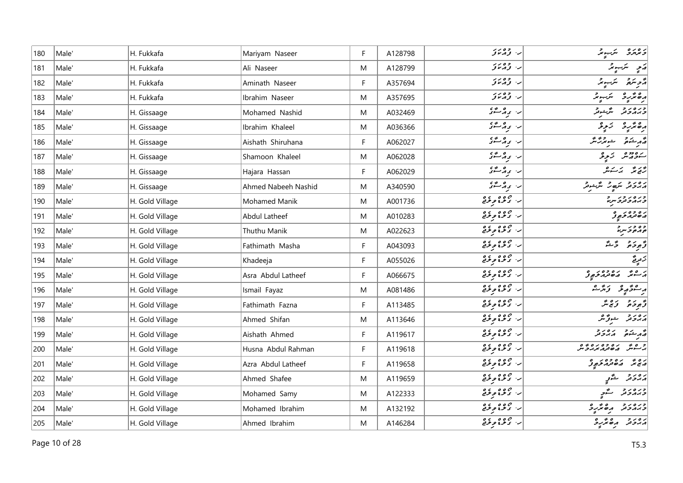| 180 | Male' | H. Fukkafa      | Mariyam Naseer      | F           | A128798 | ر . وەرز                                   | ويوبره<br>ىترسونر                           |
|-----|-------|-----------------|---------------------|-------------|---------|--------------------------------------------|---------------------------------------------|
| 181 | Male' | H. Fukkafa      | Ali Naseer          | M           | A128799 | ر. دەرد                                    | أركمني الكرسية مرتجر                        |
| 182 | Male' | H. Fukkafa      | Aminath Naseer      | $\mathsf F$ | A357694 | ر. دەردى                                   | أرمز<br>ىئەسىرىتى                           |
| 183 | Male' | H. Fukkafa      | Ibrahim Naseer      | M           | A357695 | ر . وەرزى                                  | ە ھەترىرى<br>رەھىرىرى<br>ىئرسونر            |
| 184 | Male' | H. Gissaage     | Mohamed Nashid      | M           | A032469 | ار.<br>اور وهر شوي                         | و ره ر و<br>تر پر ژنگر<br>سرٌمشوتر          |
| 185 | Male' | H. Gissaage     | Ibrahim Khaleel     | M           | A036366 | ر. په پر په پ                              | ە ھەترىرى<br>رەھىرىرى<br>زرود               |
| 186 | Male' | H. Gissaage     | Aishath Shiruhana   | F           | A062027 | ر، په پرستنې                               | د.<br><i>د ار خوي شوير ش</i> ر              |
| 187 | Male' | H. Gissaage     | Shamoon Khaleel     | M           | A062028 | ر. با ده شوی                               | ے وہ وہ زرو                                 |
| 188 | Male' | H. Gissaage     | Hajara Hassan       | F           | A062029 | ر. بەرگەمىي                                | رُّمْ پُرَ سَکَسُ                           |
| 189 | Male' | H. Gissaage     | Ahmed Nabeeh Nashid | M           | A340590 | ر، برورشنی                                 | رور پر پرچاڑ اگر شومر                       |
| 190 | Male' | H. Gold Village | Mohamed Manik       | M           | A001736 | ر . د وه و و و و                           | و ر ٥ ر و ر<br>د بر بر <del>د</del> بر ر و  |
| 191 | Male' | H. Gold Village | Abdul Latheef       | M           | A010283 | ر. ژوه وی                                  | ן פיפיקי פ                                  |
| 192 | Male' | H. Gold Village | Thuthu Manik        | M           | A022623 | $rac{1}{2}$                                | כם כן הק<br>ק <i>ב</i> ת קב ייקול           |
| 193 | Male' | H. Gold Village | Fathimath Masha     | F           | A043093 | ر ج و ه و و و ه<br>ر گ و و و و و           | ۇرۇرۇ ئەڭ                                   |
| 194 | Male' | H. Gold Village | Khadeeja            | F           | A055026 | ر. د وه و و و و                            | ئر تورچ<br>خ                                |
| 195 | Male' | H. Gold Village | Asra Abdul Latheef  | F           | A066675 | ر ه ه ه ه و و ه<br>ر گ می موځ ه            | ر قائد بره وه بر و<br>مرسوس مان معامل مرضوع |
| 196 | Male' | H. Gold Village | Ismail Fayaz        | M           | A081486 | ر. د وه و و و و                            | أرجع ومحمدة وترقيقه                         |
| 197 | Male' | H. Gold Village | Fathimath Fazna     | F           | A113485 | ر. ژوه وی                                  | توجوخوا توكانتر                             |
| 198 | Male' | H. Gold Village | Ahmed Shifan        | M           | A113646 | ر، دوه و ده                                | رەر ئىستىرىگە<br>مەركىر ئىستىرىگە           |
| 199 | Male' | H. Gold Village | Aishath Ahmed       | F           | A119617 | ر. دوه و ده                                | و دره ده در در د                            |
| 200 | Male' | H. Gold Village | Husna Abdul Rahman  | F           | A119618 | ر، دوه و ده                                | د مشهد بره ده د موه<br>بر سوس مصر مرضوض     |
| 201 | Male' | H. Gold Village | Azra Abdul Latheef  | F           | A119658 | ر، دوه و ده                                | رە بە دەرەر ۋ                               |
| 202 | Male' | H. Gold Village | Ahmed Shafee        | M           | A119659 | ر. ه ه ه ه و و ه<br>ر. گ <b>و</b> نگاموخرم | ر در د شوړ                                  |
| 203 | Male' | H. Gold Village | Mohamed Samy        | M           | A122333 | ر. ژوه ویژه                                | <i>و بر ۹ د</i> ر و                         |
| 204 | Male' | H. Gold Village | Mohamed Ibrahim     | M           | A132192 | ر. ژوه وی                                  | و ر ه ر و<br>و پر پر و تر<br>دە ئەرد        |
| 205 | Male' | H. Gold Village | Ahmed Ibrahim       | M           | A146284 | ر، دوه و ده                                | גפנק גם ביק                                 |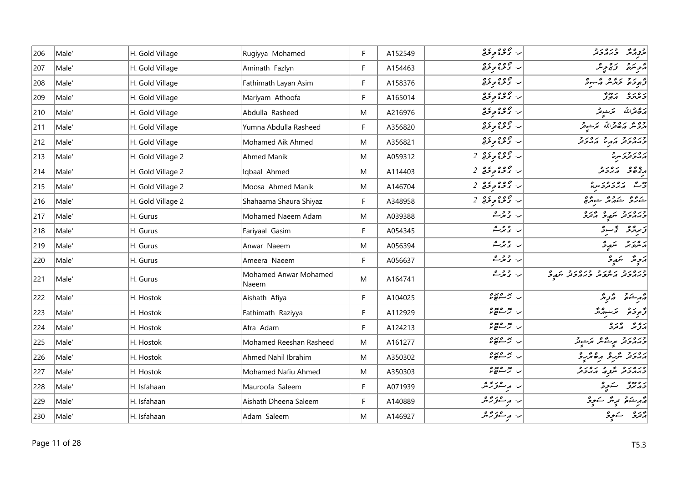| 206 | Male' | H. Gold Village   | Rugiyya Mohamed                | F  | A152549 | ر . د وه و و و و                                                              | 2007 2007<br>  مرتوان المراكب المراكب                     |
|-----|-------|-------------------|--------------------------------|----|---------|-------------------------------------------------------------------------------|-----------------------------------------------------------|
| 207 | Male' | H. Gold Village   | Aminath Fazlyn                 | F  | A154463 | ر . ژوه و ده                                                                  | أزويتنى وتجويثر                                           |
| 208 | Male' | H. Gold Village   | Fathimath Layan Asim           | F  | A158376 | ر. ژوه ویژه                                                                   | و أو دو د و د و د الله الله الله و الله و الله و الله و د |
| 209 | Male' | H. Gold Village   | Mariyam Athoofa                | F  | A165014 | ر، گەمى دە ئ                                                                  | גםגם גדודי                                                |
| 210 | Male' | H. Gold Village   | Abdulla Rasheed                | M  | A216976 |                                                                               | أرة قرالله تمرشونر                                        |
| 211 | Male' | H. Gold Village   | Yumna Abdulla Rasheed          | F. | A356820 | ر، گۇمى كەم بىرە                                                              | وه و بره والله ترشوتر                                     |
| 212 | Male' | H. Gold Village   | Mohamed Aik Ahmed              | M  | A356821 | ر، دې وه ده                                                                   | כנסנפ ההיל המכת                                           |
| 213 | Male' | H. Gold Village 2 | <b>Ahmed Manik</b>             | M  | A059312 | ر. د وووځو 2                                                                  | ر ہ ر د ر<br>ג پر تر تر تر س                              |
| 214 | Male' | H. Gold Village 2 | Iqbaal Ahmed                   | M  | A114403 | ر. د وو و دو د                                                                | د وه و د د د د                                            |
| 215 | Male' | H. Gold Village 2 | Moosa Ahmed Manik              | M  | A146704 | ر. ئۇقمۇمۇقى 2                                                                | כל גבנבעביעו                                              |
| 216 | Male' | H. Gold Village 2 | Shahaama Shaura Shiyaz         | F  | A348958 | ر. د وو و د و 2                                                               | شركركي شركر محمد الشرورج                                  |
| 217 | Male' | H. Gurus          | Mohamed Naeem Adam             | M  | A039388 | ر، بې ترگ                                                                     | ورەرو شہر و پرو                                           |
| 218 | Male' | H. Gurus          | Fariyaal Gasim                 | F  | A054345 | ر، ئەتىرىشە                                                                   | تر پر پڑو سی تج سوچ                                       |
| 219 | Male' | H. Gurus          | Anwar Naeem                    | M  | A056394 | ر، پېړم ه                                                                     | أرەر ئىر                                                  |
| 220 | Male' | H. Gurus          | Ameera Naeem                   | F  | A056637 | ر، بې ترگ                                                                     | أروبا الكمياء                                             |
| 221 | Male' | H. Gurus          | Mohamed Anwar Mohamed<br>Naeem | M  | A164741 | ر، ئەتىرىشە                                                                   | وره رو ره رو دره رو در شهره                               |
| 222 | Male' | H. Hostok         | Aishath Afiya                  | F  | A104025 | ر، برموړه                                                                     | أمار منكفى المروائر                                       |
| 223 | Male' | H. Hostok         | Fathimath Raziyya              | F  | A112929 | $\overset{o\times o}\longrightarrow$                                          | و و ده نمز ده.                                            |
| 224 | Male' | H. Hostok         | Afra Adam                      | F  | A124213 | $\overset{o\times o}\longrightarrow$                                          | ره پر پره<br>د و بر ترو                                   |
| 225 | Male' | H. Hostok         | Mohamed Reeshan Rasheed        | M  | A161277 | $\overset{o\times o}\longrightarrow$                                          | ورەرو پرېشكى ترېدۇ.                                       |
| 226 | Male' | H. Hostok         | Ahmed Nahil Ibrahim            | M  | A350302 | $\overset{o\times o}\longrightarrow$                                          | رورد شرو رە ئرو                                           |
| 227 | Male' | H. Hostok         | Mohamed Nafiu Ahmed            | M  | A350303 | $\overset{o\times o}\phantom{}_{\mathscr{L}}\overset{\varkappa}\mathscr{L}$ . | ورەرو بور پەدون                                           |
| 228 | Male' | H. Isfahaan       | Mauroofa Saleem                | F  | A071939 | ر. بەسىۋرتىر                                                                  | و دود و کرده                                              |
| 229 | Male' | H. Isfahaan       | Aishath Dheena Saleem          | F. | A140889 | ر. مەسىۋرتىش                                                                  | ۇرمۇق بېتر سوۋ                                            |
| 230 | Male' | H. Isfahaan       | Adam Saleem                    | M  | A146927 | ر. مەسۇر ئەش                                                                  | ړوو شود                                                   |
|     |       |                   |                                |    |         |                                                                               |                                                           |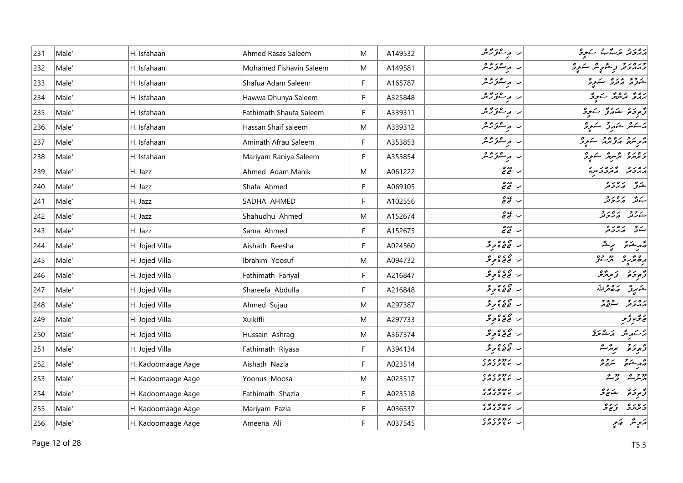| 231 | Male' | H. Isfahaan        | Ahmed Rasas Saleem      | M  | A149532 | ر. بەستۇرتىش                                                                                        | رەر ئەيدىك سەرو                                                                                      |
|-----|-------|--------------------|-------------------------|----|---------|-----------------------------------------------------------------------------------------------------|------------------------------------------------------------------------------------------------------|
| 232 | Male' | H. Isfahaan        | Mohamed Fishavin Saleem | M  | A149581 | ر. مەسۇرتەنلە                                                                                       | وبرورو ريئويثر سوو                                                                                   |
| 233 | Male' | H. Isfahaan        | Shafua Adam Saleem      | F. | A165787 | ر. بەستۇرتىش                                                                                        | شروع المرده الشروع                                                                                   |
| 234 | Male' | H. Isfahaan        | Hawwa Dhunya Saleem     | F  | A325848 | ر. مەسۇرتەنگە                                                                                       | رەپ دەپ ئېرو                                                                                         |
| 235 | Male' | H. Isfahaan        | Fathimath Shaufa Saleem | F  | A339311 | ر. بەستۇرتىش                                                                                        | ۇي ئەچ سىمەتۇ سىرد                                                                                   |
| 236 | Male' | H. Isfahaan        | Hassan Shaif saleem     | M  | A339312 | ر. بەسىۋرتىر                                                                                        | ېزىكەش خەرىۋا سەردۇ.                                                                                 |
| 237 | Male' | H. Isfahaan        | Aminath Afrau Saleem    | F  | A353853 | ر. بەسىۋرتىر                                                                                        | و پره دو ور شود                                                                                      |
| 238 | Male' | H. Isfahaan        | Mariyam Raniya Saleem   | F  | A353854 | ر. بەسىۋرتىر                                                                                        | دەرو ئرسر ئىكرو                                                                                      |
| 239 | Male' | H. Jazz            | Ahmed Adam Manik        | M  | A061222 | ر به عام<br>ر کام مح                                                                                | גפגב בגסגב                                                                                           |
| 240 | Male' | H. Jazz            | Shafa Ahmed             | F  | A069105 | ر به جونج<br>ر• گھريم                                                                               | شۇق كەردىمى                                                                                          |
| 241 | Male' | H. Jazz            | SADHA AHMED             | F  | A102556 | ر. يى ج                                                                                             | سەنگە كەركەتلەر                                                                                      |
| 242 | Male' | H. Jazz            | Shahudhu Ahmed          | M  | A152674 | ر. مح مح                                                                                            | شەرەر بەرەرە                                                                                         |
| 243 | Male' | H. Jazz            | Sama Ahmed              | F  | A152675 | ر. يى ج                                                                                             | سترو المرارور                                                                                        |
| 244 | Male' | H. Jojed Villa     | Aishath Reesha          | F  | A024560 | ر. ج ځ چ چو څ                                                                                       | أأمر منكم أوسيق                                                                                      |
| 245 | Male' | H. Jojed Villa     | Ibrahim Yoosuf          | M  | A094732 | ر، جء ج و محر                                                                                       | د ۱۵ پېښه ده وه وه<br>  د ۱۵ پېښه                                                                    |
| 246 | Male' | H. Jojed Villa     | Fathimath Fariyal       | F  | A216847 | ر. ج ۽ ج و گر                                                                                       | وتجوزه وبرازو                                                                                        |
| 247 | Male' | H. Jojed Villa     | Shareefa Abdulla        | F. | A216848 | ر. چء ۽ وِ وُ                                                                                       | شَمَعِيقٌ صَدْهِ قَدْاللّه                                                                           |
| 248 | Male' | H. Jojed Villa     | Ahmed Sujau             | M  | A297387 | ر، صحيح وقر                                                                                         | پروژو<br>ر حرم حر                                                                                    |
| 249 | Male' | H. Jojed Villa     | Xulkifli                | M  | A297733 | $\stackrel{\sim}{\sim}$ $\frac{1}{2}$ $\stackrel{\sim}{\sim}$ $\frac{1}{2}$ $\stackrel{\sim}{\sim}$ | ېږورو<br>س                                                                                           |
| 250 | Male' | H. Jojed Villa     | Hussain Ashrag          | M  | A367374 | ر، جء جو پڙ                                                                                         | جرىسىمبە ئىر<br>مەسىر بىر<br>ىر شەير چ                                                               |
| 251 | Male' | H. Jojed Villa     | Fathimath Riyasa        | F  | A394134 | ر. ج ج ۽ وِ ڦر                                                                                      | توجوحا بالمريض                                                                                       |
| 252 | Male' | H. Kadoomaage Aage | Aishath Nazla           | F  | A023514 |                                                                                                     | چ مرے تھے<br>م<br>سرچ پڅه                                                                            |
| 253 | Male' | H. Kadoomaage Aage | Yoonus Moosa            | M  | A023517 |                                                                                                     | دد و ه<br>ست مشتر می                                                                                 |
| 254 | Male' | H. Kadoomaage Aage | Fathimath Shazla        | F  | A023518 | $\begin{array}{ccccc} c & c & c & s & s & s & s \\ s & s & s & s & s & s & s \end{array}$           | و المع المعنى المحمد المحمد المحمد المحمد المحمد المحمد المحمد المحمد المحمد المحمد المحمد المحمد ال |
| 255 | Male' | H. Kadoomaage Aage | Mariyam Fazla           | F. | A036337 | $59597 -$                                                                                           | ر ه ر ه<br><del>ر</del> بربرگ<br>تو پخ تخر                                                           |
| 256 | Male' | H. Kadoomaage Aage | Ameena Ali              | F. | A037545 | $59597 -$                                                                                           | أرَدٍ مَنْ أَرَدٍ ۖ                                                                                  |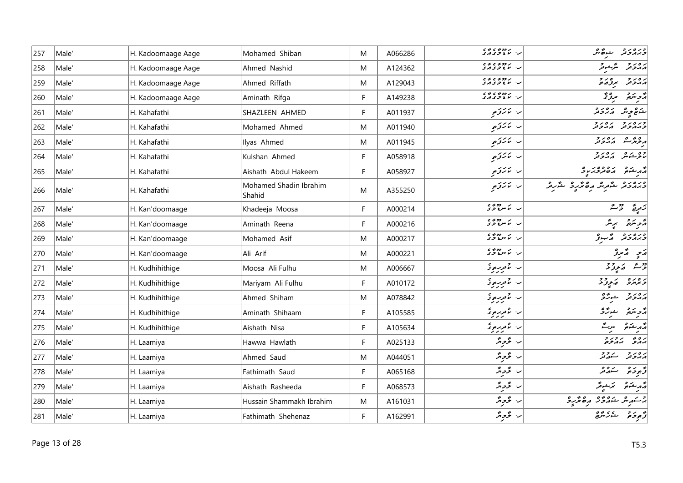| 257 | Male' | H. Kadoomaage Aage | Mohamed Shiban                   | M           | A066286 | $\frac{c}{c}$ , $\frac{c}{c}$ , $\frac{c}{c}$ , $\frac{c}{c}$ | شەھ ئىر<br>و ره ر د<br>تر <i>پر</i> وتر                 |
|-----|-------|--------------------|----------------------------------|-------------|---------|---------------------------------------------------------------|---------------------------------------------------------|
| 258 | Male' | H. Kadoomaage Aage | Ahmed Nashid                     | M           | A124362 | $59597 -$                                                     | پروژو<br>سگرشوتر                                        |
| 259 | Male' | H. Kadoomaage Aage | Ahmed Riffath                    | M           | A129043 | $59597 -$                                                     | پرور و<br>ە رە د<br>بىرتى <i>مى</i>                     |
| 260 | Male' | H. Kadoomaage Aage | Aminath Rifga                    | F           | A149238 | $595952 -$                                                    | أرمز<br>ىرى ئۇ                                          |
| 261 | Male' | H. Kahafathi       | SHAZLEEN AHMED                   | F           | A011937 | ر، ئەزۇھ                                                      | شكور كالمرور                                            |
| 262 | Male' | H. Kahafathi       | Mohamed Ahmed                    | M           | A011940 | ر، ئائەزە                                                     | وره رو ده رو<br><i>و بد</i> رونر <mark>د</mark> برونر   |
| 263 | Male' | H. Kahafathi       | Ilyas Ahmed                      | M           | A011945 | ر. ئائەتۇم                                                    | بر 2 پر 15<br>مرکز 3 فر<br>ەر بۇرگە                     |
| 264 | Male' | H. Kahafathi       | Kulshan Ahmed                    | F           | A058918 | ر، ئائەتۇھ                                                    | وه دره در در د                                          |
| 265 | Male' | H. Kahafathi       | Aishath Abdul Hakeem             | $\mathsf F$ | A058927 | ئائەتىي                                                       | و دو دووه در و                                          |
| 266 | Male' | H. Kahafathi       | Mohamed Shadin Ibrahim<br>Shahid | M           | A355250 | ر، ئەزكۇم                                                     | وره دو شورس مصر دو شورو                                 |
| 267 | Male' | H. Kan'doomaage    | Khadeeja Moosa                   | F           | A000214 | ر . ما مسروح ی<br>ر . ما مسر <u>ه</u> بور                     | دريمه<br>رکوچے<br>م                                     |
| 268 | Male' | H. Kan'doomaage    | Aminath Reena                    | F           | A000216 | ر، ئەسرچىچ ئ                                                  | ړ څر سرچ                                                |
| 269 | Male' | H. Kan'doomaage    | Mohamed Asif                     | M           | A000217 | ر . روه بر<br>ر . را مسره بر د                                | و ره ر و<br>تر پر ژ تر<br>ړ ک سه وگر                    |
| 270 | Male' | H. Kan'doomaage    | Ali Arif                         | M           | A000221 | ر . روه بر<br>ر . را مسره بر د                                | د د مرو                                                 |
| 271 | Male' | H. Kudhihithige    | Moosa Ali Fulhu                  | M           | A006667 | ر ، گروروی<br>ر ، گروروی                                      | $\frac{2}{3}$ $\frac{2}{3}$ $\frac{2}{3}$ $\frac{2}{3}$ |
| 272 | Male' | H. Kudhihithige    | Mariyam Ali Fulhu                | $\mathsf F$ | A010172 | ر. گروروی<br>ر. گروروی                                        | במתכני הייני                                            |
| 273 | Male' | H. Kudhihithige    | Ahmed Shiham                     | M           | A078842 | ر. گەندىرە ئى<br>سىسمىرىرى                                    | ره رو به دون<br>م.پروتر باشرگر                          |
| 274 | Male' | H. Kudhihithige    | Aminath Shihaam                  | $\mathsf F$ | A105585 | ر. گروروی<br>ر. گروروی                                        | ے رًگ<br>ړځ سرچ                                         |
| 275 | Male' | H. Kudhihithige    | Aishath Nisa                     | F           | A105634 | ر ، گروروی<br>ر ، گروروی                                      | وكرم شكرة<br>سررمج                                      |
| 276 | Male' | H. Laamiya         | Hawwa Hawlath                    | F           | A025133 | ر. ڈرگ                                                        | ر ہ ء<br>براد بو<br>برورو                               |
| 277 | Male' | H. Laamiya         | Ahmed Saud                       | M           | A044051 | ر. ځه پژ                                                      | پر ژبر ژ<br>سته چه تعر                                  |
| 278 | Male' | H. Laamiya         | Fathimath Saud                   | F           | A065168 | ر. ڈوبڑ                                                       | ژ <sub>جو</sub> ر پر در                                 |
| 279 | Male' | H. Laamiya         | Aishath Rasheeda                 | F           | A068573 | ر. ۇرۇ                                                        | لأرشكم المرشوقر                                         |
| 280 | Male' | H. Laamiya         | Hussain Shammakh Ibrahim         | M           | A161031 | ر. ۇرۇ                                                        | ج سەر ھەر جەم ھەم بەر ج                                 |
| 281 | Male' | H. Laamiya         | Fathimath Shehenaz               | F           | A162991 | ر. تۇرتۇ                                                      | ۇ بەر ئەرەپى                                            |
|     |       |                    |                                  |             |         |                                                               |                                                         |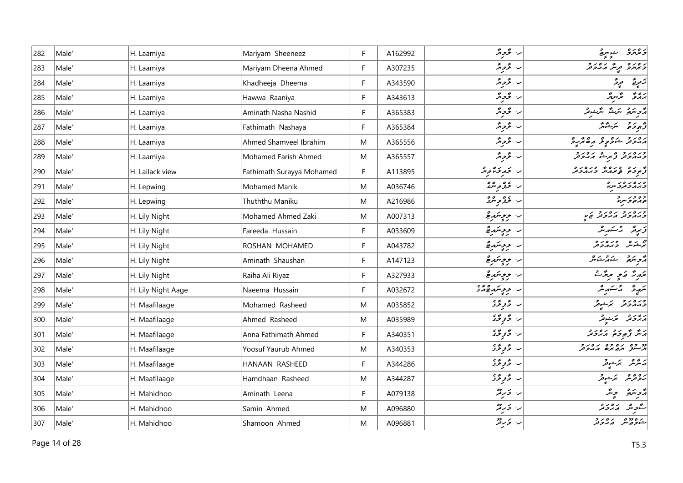| 282 | Male' | H. Laamiya         | Mariyam Sheeneez          | F           | A162992 | ر. ڈوئر           | ويوبره<br>شوسرچ<br><u>گگ</u>                         |
|-----|-------|--------------------|---------------------------|-------------|---------|-------------------|------------------------------------------------------|
| 283 | Male' | H. Laamiya         | Mariyam Dheena Ahmed      | F           | A307235 | ر. ڈرگ            | ر وره درگر رور و<br>د بربرد درگر مربردند             |
| 284 | Male' | H. Laamiya         | Khadheeja Dheema          | $\mathsf F$ | A343590 | ر. ڈرگ            | رَ مريحً<br>م<br>قرِرتٌ                              |
| 285 | Male' | H. Laamiya         | Hawwa Raaniya             | F           | A343613 | ر. ڈرگ            | رەپ ئەر                                              |
| 286 | Male' | H. Laamiya         | Aminath Nasha Nashid      | $\mathsf F$ | A365383 | ر. ڈرگ            | و<br>أرد سي سريق سريد                                |
| 287 | Male' | H. Laamiya         | Fathimath Nashaya         | $\mathsf F$ | A365384 | ر. ڈرگ            | و ده شود                                             |
| 288 | Male' | H. Laamiya         | Ahmed Shamveel Ibrahim    | M           | A365556 | ر. ڈرگ            |                                                      |
| 289 | Male' | H. Laamiya         | Mohamed Farish Ahmed      | ${\sf M}$   | A365557 | ر. ڈرگ            | ورەر د ژېرے مرەر د                                   |
| 290 | Male' | H. Lailack view    | Fathimath Surayya Mohamed | F.          | A113895 | ر به مرکز عملو پر | و د د د ده و د د د د<br>ژبوده نومه شر د بر د تر      |
| 291 | Male' | H. Lepwing         | Mohamed Manik             | M           | A036746 | ر. ئۇرۇمەنلى      | ورەرورىپر                                            |
| 292 | Male' | H. Lepwing         | Thuththu Maniku           | M           | A216986 | ر. عجوج مره       | כם כן<br>קנקוק ייקול                                 |
| 293 | Male' | H. Lily Night      | Mohamed Ahmed Zaki        | M           | A007313 | ر، وویتروغ        | כנסנב גפנב הע                                        |
| 294 | Male' | H. Lily Night      | Fareeda Hussain           | F           | A033609 | ر. وويتهرهج       | ترىپەتتە جەسىمەتتى                                   |
| 295 | Male' | H. Lily Night      | ROSHAN MOHAMED            | $\mathsf F$ | A043782 | ر. بوپوسرچ        | ە يەرەر دىرە<br>ئىشكىر <i>دىم</i> ەدىر               |
| 296 | Male' | H. Lily Night      | Aminath Shaushan          | F           | A147123 | ر، وویتمرچ        | مُرَ حَرَمَ مُشَمَرِ شَوَسُرَ                        |
| 297 | Male' | H. Lily Night      | Raiha Ali Riyaz           | $\mathsf F$ | A327933 | ر. وويتمرغ        | بمديد كالموا بروثنا                                  |
| 298 | Male' | H. Lily Night Aage | Naeema Hussain            | $\mathsf F$ | A032672 | ر وویتروه ده      | أسمدة بالتسمير                                       |
| 299 | Male' | H. Maafilaage      | Mohamed Rasheed           | M           | A035852 | ر. گۇرگۇ          |                                                      |
| 300 | Male' | H. Maafilaage      | Ahmed Rasheed             | M           | A035989 | ر. ۇرۇئى          | رەر تەرىپىدى<br>مەركى تەخىر                          |
| 301 | Male' | H. Maafilaage      | Anna Fathimath Ahmed      | $\mathsf F$ | A340351 | ر. گۇرگۇ          | ړی ژ <sub>ن</sub> و ده ره رو                         |
| 302 | Male' | H. Maafilaage      | Yoosuf Yaurub Ahmed       | M           | A340353 | ر. ۇرۇئى          | מ כם גם כם גםגב<br>ת—تو תגתים גמכת                   |
| 303 | Male' | H. Maafilaage      | HANAAN RASHEED            | F           | A344286 | ر. گۇرگۇ          | ر پر پی پر شوند<br>پر سرچ                            |
| 304 | Male' | H. Maafilaage      | Hamdhaan Rasheed          | M           | A344287 |                   | رەۋش ئەسىر                                           |
| 305 | Male' | H. Mahidhoo        | Aminath Leena             | F           | A079138 | ر کارتژ           | ړوسره په پګ                                          |
| 306 | Male' | H. Mahidhoo        | Samin Ahmed               | M           | A096880 | ر، ئەرىتر         | بر 2 ر ح<br>م <i>ر</i> بر <del>د</del> تر<br>سەّحەشر |
| 307 | Male' | H. Mahidhoo        | Shamoon Ahmed             | M           | A096881 | ر، ئەرتىر         | ر و دوه د د د و<br>شورهاس مارونر                     |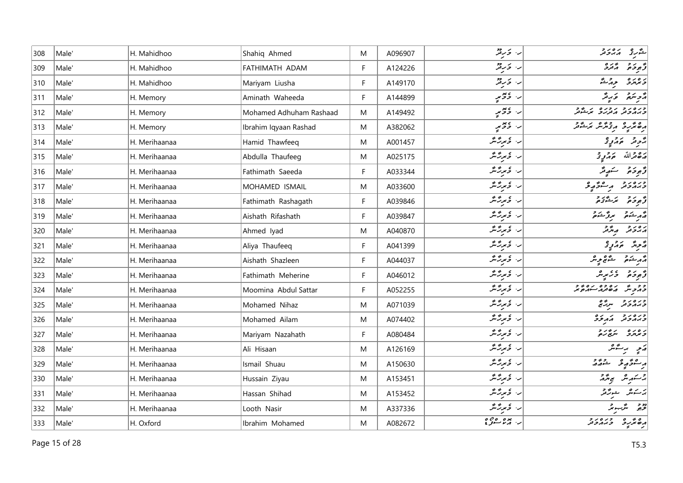| 308 | Male' | H. Mahidhoo   | Shahiq Ahmed            | M           | A096907 | ر، ئەرتىر                                                            | پرورو<br>المشرر محمد<br>المستعمر الحر                                                                                                                                                                                            |
|-----|-------|---------------|-------------------------|-------------|---------|----------------------------------------------------------------------|----------------------------------------------------------------------------------------------------------------------------------------------------------------------------------------------------------------------------------|
| 309 | Male' | H. Mahidhoo   | FATHIMATH ADAM          |             | A124226 | ر کاروژ                                                              | ا تو با در د<br>پور ہ<br>مرمرو                                                                                                                                                                                                   |
|     |       |               |                         | F           |         |                                                                      |                                                                                                                                                                                                                                  |
| 310 | Male' | H. Mahidhoo   | Mariyam Liusha          | $\mathsf F$ | A149170 | ر، ئەرەر                                                             | ر ه ر ه<br>د بربرد<br>عربر مشر                                                                                                                                                                                                   |
| 311 | Male' | H. Memory     | Aminath Waheeda         | F           | A144899 | بالمجمعي                                                             | أرمز<br>ءَ ٻرقر                                                                                                                                                                                                                  |
| 312 | Male' | H. Memory     | Mohamed Adhuham Rashaad | M           | A149492 | ر به نوچ پې                                                          | ورەر د رورە بر پەر<br><i>چەپە</i> چى پەندىرى برېشەتر                                                                                                                                                                             |
| 313 | Male' | H. Memory     | Ibrahim Iqyaan Rashad   | M           | A382062 | $x \overline{\smash{\big)}\limits_{\mathbf{y}}^{x \in} \mathcal{L}}$ | وەئرىۋ بوتەشىر برخى                                                                                                                                                                                                              |
| 314 | Male' | H. Merihaanaa | Hamid Thawfeeq          | M           | A001457 | ر. ڈبررممبر                                                          | أترجعه أتمرس والمحمدة المحمدة المحمدة المحمدة المحمدة المحمدة المنافسة المحمدة المحمدة المحمدة المحمدة المحمدة<br>المحمدة المحمدة المحمدة المحمدة المحمدة المحمدة المحمدة المحمدة المحمدة المحمدة المحمدة المحمدة المحمدة المحمد |
| 315 | Male' | H. Merihaanaa | Abdulla Thaufeeg        | ${\sf M}$   | A025175 | ر، ڈیرٹرنٹر                                                          | ره و الله محمد و تح                                                                                                                                                                                                              |
| 316 | Male' | H. Merihaanaa | Fathimath Saeeda        | F           | A033344 | ر. ئۇ بررمىگە                                                        | ۇرۇرۇ سەر ئۇ                                                                                                                                                                                                                     |
| 317 | Male' | H. Merihaanaa | MOHAMED ISMAIL          | M           | A033600 | ر. ۇىررتىگە                                                          | ورەرو رەۋرو                                                                                                                                                                                                                      |
| 318 | Male' | H. Merihaanaa | Fathimath Rashagath     | F           | A039846 | ر. ۇىررتىگە                                                          | پر شوپر <i>و</i><br>مرڪوبو<br>ۇ ب <sub>و</sub> ر د                                                                                                                                                                               |
| 319 | Male' | H. Merihaanaa | Aishath Rifashath       | F           | A039847 | را كالمرشد                                                           | د مرکز ده.<br>د کرد شوی<br>ىر ئۇ ھەمى                                                                                                                                                                                            |
| 320 | Male' | H. Merihaanaa | Ahmed Iyad              | M           | A040870 | ر. ۇىررتىگە                                                          | גם גב בית                                                                                                                                                                                                                        |
| 321 | Male' | H. Merihaanaa | Aliya Thaufeeq          | $\mathsf F$ | A041399 | ر. ۇىررتىگە                                                          | أيمريز أورورو                                                                                                                                                                                                                    |
| 322 | Male' | H. Merihaanaa | Aishath Shazleen        | F           | A044037 | ر به محبر شهر                                                        | ڪُن <sup>ج</sup> م <sub>ح</sub> ِسٌ<br>ا پر مرکز د<br>مرگ                                                                                                                                                                        |
| 323 | Male' | H. Merihaanaa | Fathimath Meherine      | F           | A046012 | ر با تخبر شگر                                                        | قرم والتحرير وكالمحمد والمحمدة والمحمدة والمحمدة والمحمدة والمحمدة والمحمدة والمحمدة والمحمدة والمحمدة والمحمد                                                                                                                   |
| 324 | Male' | H. Merihaanaa | Moomina Abdul Sattar    | F           | A052255 | ر. ئۇيرىگە                                                           | גם כם גם 2 2<br>גיש מג<br>  دېم د مگر                                                                                                                                                                                            |
| 325 | Male' | H. Merihaanaa | Mohamed Nihaz           | M           | A071039 | ر. ۇىررتىگە                                                          | ورور و سرگاه                                                                                                                                                                                                                     |
| 326 | Male' | H. Merihaanaa | Mohamed Ailam           | M           | A074402 | ر بمبررتمنگ                                                          | כנים ני האבכ                                                                                                                                                                                                                     |
| 327 | Male' | H. Merihaanaa | Mariyam Nazahath        | $\mathsf F$ | A080484 | ر کا عرشتگ                                                           | ر ۱۵ ر د<br>سرچ ر ه<br>ر ه ر ه<br><del>ر</del> بربر د                                                                                                                                                                            |
| 328 | Male' | H. Merihaanaa | Ali Hisaan              | M           | A126169 | ر. ۇىررتىگە                                                          | ړې برگېر<br>د ک                                                                                                                                                                                                                  |
| 329 | Male' | H. Merihaanaa | Ismail Shuau            | M           | A150630 | ر. د بررشگ                                                           | $\frac{282}{200}$ $\frac{200}{20}$                                                                                                                                                                                               |
| 330 | Male' | H. Merihaanaa | Hussain Ziyau           | M           | A153451 | ر. ۇىررىگە                                                           |                                                                                                                                                                                                                                  |
| 331 | Male' | H. Merihaanaa | Hassan Shihad           | M           | A153452 | ر. ۇىررتىگە                                                          | ىز كەش ھەركەر<br>بار كىشىش كەنبەر                                                                                                                                                                                                |
| 332 | Male' | H. Merihaanaa | Looth Nasir             | M           | A337336 | ر. ۇىررتىر                                                           | دد د مگر بارد<br>محرجو مگر بار                                                                                                                                                                                                   |
| 333 | Male' | H. Oxford     | Ibrahim Mohamed         | M           | A082672 | ر. پره وج ه                                                          | دە ئەرە دىرەرد                                                                                                                                                                                                                   |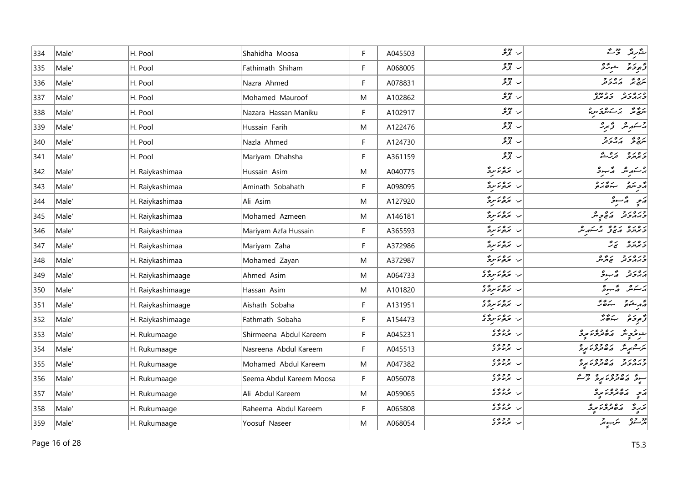| 334 | Male' | H. Pool           | Shahidha Moosa           | F         | A045503 | ر. بۇي                            | شەرىقە<br>سىمبرىقىر<br>وحرثة                         |
|-----|-------|-------------------|--------------------------|-----------|---------|-----------------------------------|------------------------------------------------------|
| 335 | Male' | H. Pool           | Fathimath Shiham         | F         | A068005 | ر. بۇي                            | ۇي <sub>م</sub> وڭ ھوڭۇ                              |
| 336 | Male' | H. Pool           | Nazra Ahmed              | F.        | A078831 | ر. بۇيى                           | ره به در در د                                        |
| 337 | Male' | H. Pool           | Mohamed Mauroof          | M         | A102862 | ر. جۇغر                           | כנסנכ נכחם<br><i>כג</i> תכת כמי <i>נד</i>            |
| 338 | Male' | H. Pool           | Nazara Hassan Maniku     | F         | A102917 | ر. بۇيى                           | لىرىم كەسكەرگەر 2                                    |
| 339 | Male' | H. Pool           | Hussain Farih            | M         | A122476 | ر. بۇيى                           | يزخر مثر ومجرح                                       |
| 340 | Male' | H. Pool           | Nazla Ahmed              | F         | A124730 | ر. بۇيى                           | ش8 شرەر دەر                                          |
| 341 | Male' | H. Pool           | Mariyam Dhahsha          | F         | A361159 | ر. بۇيى                           | ره ره ده د                                           |
| 342 | Male' | H. Raiykashimaa   | Hussain Asim             | ${\sf M}$ | A040775 | ر. بره نورد                       | برسكريش كمجسوع                                       |
| 343 | Male' | H. Raiykashimaa   | Aminath Sobahath         | F         | A098095 | ر. بره نورد                       | ر ۶ ر و<br>۱ <b>۰۰۰</b> می<br>أرمز                   |
| 344 | Male' | H. Raiykashimaa   | Ali Asim                 | M         | A127920 | ر. بره نورهٔ                      | أتمنع المرسوع                                        |
| 345 | Male' | H. Raiykashimaa   | Mohamed Azmeen           | M         | A146181 | - ئەۋرىبودى                       |                                                      |
| 346 | Male' | H. Raiykashimaa   | Mariyam Azfa Hussain     | F         | A365593 | ر. ئرە ئەرگە                      | دەرە روم جامه                                        |
| 347 | Male' | H. Raiykashimaa   | Mariyam Zaha             | F         | A372986 | ر. ئرە ئەرگە                      | رەرە رو                                              |
| 348 | Male' | H. Raiykashimaa   | Mohamed Zayan            | M         | A372987 | ر برەر بەر                        | ورەر دەر                                             |
| 349 | Male' | H. Raiykashimaaqe | Ahmed Asim               | M         | A064733 | ر بره ړیږي                        | أرەر ئەسوۋ                                           |
| 350 | Male' | H. Raiykashimaaqe | Hassan Asim              | M         | A101820 | ر، بره رسور په                    | رحمة سبة وح<br>برسەيىتە                              |
| 351 | Male' | H. Raiykashimaaqe | Aishath Sobaha           | F         | A131951 | ر. بره د بروی                     | بە ئەن<br>ر<br>دگرار شکوهی                           |
| 352 | Male' | H. Raiykashimaage | Fathmath Sobaha          | F         | A154473 | ره روپر<br>ر <i>. بره م</i> ترو د | بەھ<br>و مر د<br>تر موحر می                          |
| 353 | Male' | H. Rukumaage      | Shirmeena Abdul Kareem   | F         | A045231 | ر<br>د . مون و ی                  | ره وه رچ<br>ه کافرمزنامور<br>ے پر پ <sub>ر پ</sub> ر |
| 354 | Male' | H. Rukumaage      | Nasreena Abdul Kareem    | F         | A045513 | ر - ووه د<br>ر - مونو و           | ىر شىرىتر مەدەر بور<br>سر شىرىتر مەمرىرىر بور        |
| 355 | Male' | H. Rukumaage      | Mohamed Abdul Kareem     | M         | A047382 | ر . و و پر ی<br>ر . هرمانوی       | כנסני נסיפנית.<br>כממכת מסתיבת תכ                    |
| 356 | Male' | H. Rukumaage      | Seema Abdul Kareem Moosa | F         | A056078 | ر<br>ر.                           | سوځ ړه وه د ده د د د                                 |
| 357 | Male' | H. Rukumaage      | Ali Abdul Kareem         | M         | A059065 | د - ۶۶۶ و.<br>د - مونو و د        | ג'ב גם בסתבים                                        |
| 358 | Male' | H. Rukumaage      | Raheema Abdul Kareem     | F.        | A065808 | ر<br>ر. . برنا و ی                | ىرىرچ<br>ره وه ره<br>د ه ترو ريږو                    |
| 359 | Male' | H. Rukumaage      | Yoosuf Naseer            | M         | A068054 | د - ۶۶۶ و<br>ر۰ - مرما و ی        | دو وه<br>در سور سر سر                                |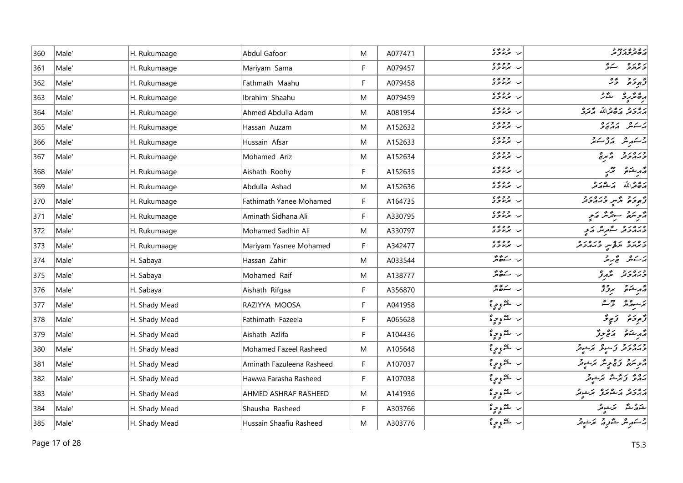| 360 | Male' | H. Rukumaage  | Abdul Gafoor              | M           | A077471 | ر . وو» ،<br>ر . بون وی      | ر ه د ه د دد د<br>پره تر پر تر بر                                       |
|-----|-------|---------------|---------------------------|-------------|---------|------------------------------|-------------------------------------------------------------------------|
| 361 | Male' | H. Rukumaage  | Mariyam Sama              | $\mathsf F$ | A079457 | ر - ووی د<br>ر - مونوک       | ر ه ر ه<br><del>و</del> بربرو<br>ے تح                                   |
| 362 | Male' | H. Rukumaage  | Fathmath Maahu            | F           | A079458 | ر به ۱۶۶۶<br>رسید مرکزی      | رصح<br>  د څوخه و                                                       |
| 363 | Male' | H. Rukumaage  | Ibrahim Shaahu            | M           | A079459 | ر<br>ر. . برنا و ی           | دەندىرو شەر                                                             |
| 364 | Male' | H. Rukumaage  | Ahmed Abdulla Adam        | M           | A081954 | ر<br>ر. . برنا و ی           | رەرو رەۋاللە ئەرە                                                       |
| 365 | Male' | H. Rukumaage  | Hassan Auzam              | M           | A152632 | ر - ۱۶۶۶<br>ر۰ مونوکو ک      | يركسكس مروره                                                            |
| 366 | Male' | H. Rukumaage  | Hussain Afsar             | M           | A152633 | ر . بروی .<br>ر . برنامری    | برسكر مركز كالمركز                                                      |
| 367 | Male' | H. Rukumaage  | Mohamed Ariz              | ${\sf M}$   | A152634 | ر . و و پر د<br>ر . مونو و ی | כממכנג הייש                                                             |
| 368 | Male' | H. Rukumaage  | Aishath Roohy             | F.          | A152635 | ر<br>د . مون و ی             | $\begin{array}{cc} & 2 & 2 & 3 \\ & 2 & 3 & 3 \\ & & 3 & 3 \end{array}$ |
| 369 | Male' | H. Rukumaage  | Abdulla Ashad             | M           | A152636 | ر<br>ر. . برنا و ی           | مَصْعَرَاللّهِ مَشْهَمَةٍ                                               |
| 370 | Male' | H. Rukumaage  | Fathimath Yanee Mohamed   | F.          | A164735 | ر . ووه د                    | تحويحو ترس وبروير                                                       |
| 371 | Male' | H. Rukumaage  | Aminath Sidhana Ali       | F           | A330795 | ر<br>د . مون و ی             | ومحرجتهم سوقر متمر وكمعي                                                |
| 372 | Male' | H. Rukumaage  | Mohamed Sadhin Ali        | M           | A330797 | ر . و و پر د<br>ر . مونو و ی | وره رو شهره کرد                                                         |
| 373 | Male' | H. Rukumaage  | Mariyam Yasnee Mohamed    | F           | A342477 | ر - ۱۶۶۶<br>ر۰ مونوکو ک      | נפנס נפת כנסנד                                                          |
| 374 | Male' | H. Sabaya     | Hassan Zahir              | M           | A033544 | ر. سەھەر                     | <br>  يرسكوش التجاريخر                                                  |
| 375 | Male' | H. Sabaya     | Mohamed Raif              | M           | A138777 | ر. سەھەر                     | ورەر ئەر                                                                |
| 376 | Male' | H. Sabaya     | Aishath Rifgaa            | $\mathsf F$ | A356870 | ر. سەھەر                     | أقهر مشكوم المحرورة                                                     |
| 377 | Male' | H. Shady Mead | RAZIYYA MOOSA             | F           | A041958 | ر. ڪوري                      | ىر ئىسىمە ئەسىر<br>ئى                                                   |
| 378 | Male' | H. Shady Mead | Fathimath Fazeela         | $\mathsf F$ | A065628 |                              | وٌمِ وَءٌ وَيَ وَ                                                       |
| 379 | Male' | H. Shady Mead | Aishath Azlifa            | F           | A104436 | ر. ڪوري                      | وكرمشكم وكالحرقر                                                        |
| 380 | Male' | H. Shady Mead | Mohamed Fazeel Rasheed    | M           | A105648 | ر. ڪوري                      | ورەرو ژىنوۋ برېمون                                                      |
| 381 | Male' | H. Shady Mead | Aminath Fazuleena Rasheed | $\mathsf F$ | A107037 | ر. ڪوري                      | أدوسم ووالمعالم المسافر                                                 |
| 382 | Male' | H. Shady Mead | Hawwa Farasha Rasheed     | F           | A107038 | ر. ڪوي وي                    | رەم رىمىش كەشون                                                         |
| 383 | Male' | H. Shady Mead | AHMED ASHRAF RASHEED      | M           | A141936 | ر. ڪوي و                     | رەر د رەرە كەندىگە                                                      |
| 384 | Male' | H. Shady Mead | Shausha Rasheed           | F           | A303766 | ر. ڪ <sub>و</sub> چ چ        | شوره می شودگر<br>شوره می می                                             |
| 385 | Male' | H. Shady Mead | Hussain Shaafiu Rasheed   | M           | A303776 | ر. ڪوري                      | ر<br>رئاس سەر سىگەر ئىگە ئىككىسىدىكى                                    |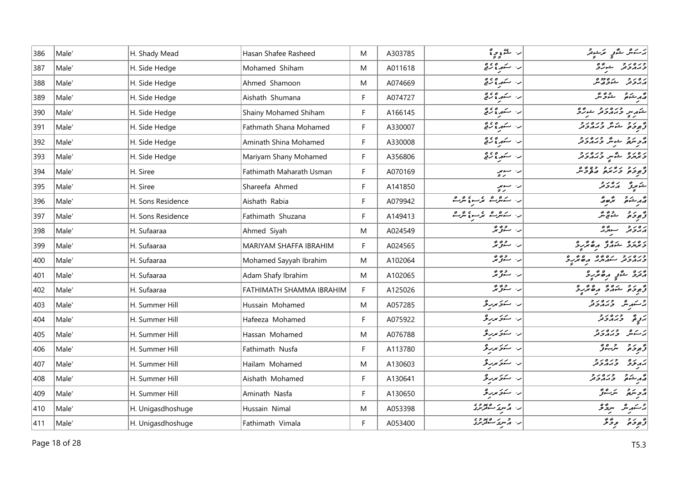| 386 | Male' | H. Shady Mead     | Hasan Shafee Rasheed     | M           | A303785 | ل کئی پی                                 | يركبش كالمي المركبولر                        |
|-----|-------|-------------------|--------------------------|-------------|---------|------------------------------------------|----------------------------------------------|
| 387 | Male' | H. Side Hedge     | Mohamed Shiham           | M           | A011618 | ر. سەر دە دە                             | ورەرو شوگرى                                  |
| 388 | Male' | H. Side Hedge     | Ahmed Shamoon            | M           | A074669 | ر. سکه په په چې                          | رەرد رەددە<br>مەردىر شەرمەس                  |
| 389 | Male' | H. Side Hedge     | Aishath Shumana          | F           | A074727 | ر، ستهره ۲۵ م                            | مەر ئىسكى ئىشرى ئىس                          |
| 390 | Male' | H. Side Hedge     | Shainy Mohamed Shiham    | F           | A166145 | ر، ستهره ۲۵ ه                            | أشهر وبرود و ده                              |
| 391 | Male' | H. Side Hedge     | Fathmath Shana Mohamed   | F.          | A330007 | ر، ستهره مره                             | و دو ځمک وره دو                              |
| 392 | Male' | H. Side Hedge     | Aminath Shina Mohamed    | F           | A330008 | ر، ستهره مرقع                            | أثرم يتمر في المستحدة المستخدم               |
| 393 | Male' | H. Side Hedge     | Mariyam Shany Mohamed    | F           | A356806 | ر، ستهره مرقع                            | و ورو ځمنې وبره د و                          |
| 394 | Male' | H. Siree          | Fathimath Maharath Usman | F.          | A070169 | ر، سوبر<br>رء                            | و د د دور دووه                               |
| 395 | Male' | H. Siree          | Shareefa Ahmed           | F           | A141850 | ر، سوبر<br>رء                            | شەيرۇ كەبروتر                                |
| 396 | Male' | H. Sons Residence | Aishath Rabia            | F           | A079942 | ر. سكوره محرسوه مركز                     | أمام يشمع متوجد                              |
| 397 | Male' | H. Sons Residence | Fathimath Shuzana        | F           | A149413 | ر. ڪيرڪ پرڪي پرڪ                         | قرم و دقيقه شور شور شر                       |
| 398 | Male' | H. Sufaaraa       | Ahmed Siyah              | M           | A024549 | ر. سۇرگە                                 | أرور والمستركر                               |
| 399 | Male' | H. Sufaaraa       | MARIYAM SHAFFA IBRAHIM   | F           | A024565 | ر، سۇۋىتۇ                                | גם גם הגם השיקים                             |
| 400 | Male' | H. Sufaaraa       | Mohamed Sayyah Ibrahim   | M           | A102064 | ر، سۇرىمە                                | כנסגב גם 20 ס 20 כל 20<br>כממכת המאימי מסתיב |
| 401 | Male' | H. Sufaaraa       | Adam Shafy Ibrahim       | M           | A102065 | ر. سۇتۇتتۇ                               | أرترو عدًا وهندرو                            |
| 402 | Male' | H. Sufaaraa       | FATHIMATH SHAMMA IBRAHIM | F.          | A125026 | ر. سۇرگە                                 | توجوجتم خورة وكالجردة                        |
| 403 | Male' | H. Summer Hill    | Hussain Mohamed          | M           | A057285 | ر. سەرىمىرىۋ                             | ج شهر شده و در و د                           |
| 404 | Male' | H. Summer Hill    | Hafeeza Mohamed          | F           | A075922 | ر. سَوَمِربِوْ                           | پَروٍ پُورورو                                |
| 405 | Male' | H. Summer Hill    | Hassan Mohamed           | M           | A076788 | ر، سەۋىرىرى                              | يركسش وبره برو                               |
| 406 | Male' | H. Summer Hill    | Fathimath Nusfa          | $\mathsf F$ | A113780 | ر. سەرىرىدىر                             | أوجوخهم الترسوش                              |
| 407 | Male' | H. Summer Hill    | Hailam Mohamed           | M           | A130603 | ر. سەۋىرىرى                              | و ره ر و<br>تر <i>پر</i> وتر<br>برَمرتر      |
| 408 | Male' | H. Summer Hill    | Aishath Mohamed          | F           | A130641 | ر. سەرىرىدىر                             | و ره ر د<br>ر <i>د د</i> گر<br>لقرمر ينسؤهمو |
| 409 | Male' | H. Summer Hill    | Aminath Nasfa            | F           | A130650 | ر، سەۋىرىدى                              | ۇ ئەسىرە ئىر ئىسىر                           |
| 410 | Male' | H. Unigasdhoshuge | Hussain Nimal            | M           | A053398 | ر. ه مریک هیوو ،<br>ر. ه مریک هنرس       | 2 سكر مثل البردمجمو                          |
| 411 | Male' | H. Unigasdhoshuge | Fathimath Vimala         | F           | A053400 | ر. ه سر که صوبر و م<br>ر. ه سرکا سوفرمرد | أزجوخهم وقرقر                                |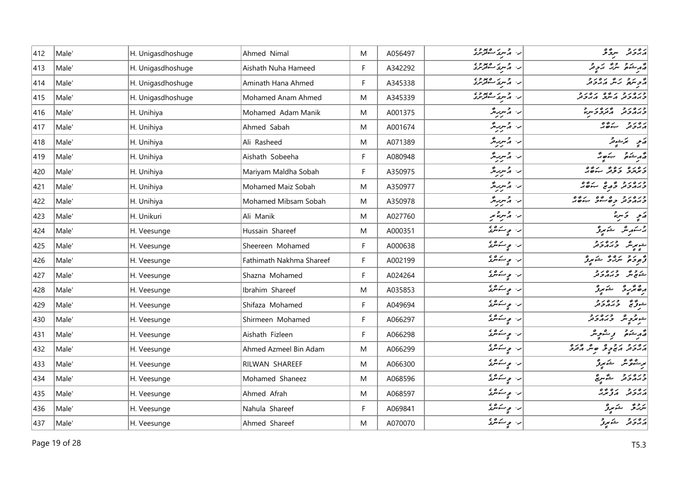| 412 | Male' | H. Unigasdhoshuge | Ahmed Nimal              | M  | A056497 | ر . هم سر ۲۵ و و c<br>ر . هم سر ک               | رەر دەر<br>גىروتر سر <i>ۇ</i> نو                |
|-----|-------|-------------------|--------------------------|----|---------|-------------------------------------------------|-------------------------------------------------|
| 413 | Male' | H. Unigasdhoshuge | Aishath Nuha Hameed      | F  | A342292 | ر. ه سر ۲۵ وی.<br>ر. ه سر سوتر دی               | مەم شەھ سرگ كەچ قر                              |
| 414 | Male' | H. Unigasdhoshuge | Aminath Hana Ahmed       | F  | A345338 | ر. هم سر نه هیو و بر<br>ر. هم سر نه مستور سر نه | و از در در از در در در در این در این کنده کرد.  |
| 415 | Male' | H. Unigasdhoshuge | Mohamed Anam Ahmed       | M  | A345339 | ر د سری کشور د ه<br>د  د سری کشور در            | כנסני גם מיניי<br>בגמבת היינב הגבת              |
| 416 | Male' | H. Unihiya        | Mohamed Adam Manik       | M  | A001375 | ر، مەسرىيەتر                                    | כנסנכ שנסנים<br>כגתכת התככתית                   |
| 417 | Male' | H. Unihiya        | Ahmed Sabah              | M  | A001674 | ر. م <sup>و</sup> سربەد                         | ره رو بروه<br>پرېدونو ب                         |
| 418 | Male' | H. Unihiya        | Ali Rasheed              | M  | A071389 | ر، مەسرىبەدىگە                                  | أركمني المركب وتر                               |
| 419 | Male' | H. Unihiya        | Aishath Sobeeha          | F  | A080948 | ر، مەسرىيەدىگە                                  | أقرم شكوم المجمومة                              |
| 420 | Male' | H. Unihiya        | Mariyam Maldha Sobah     | F. | A350975 | ر به مرسر پژ                                    | رەرە رەپ رەپ<br><i>כ</i> ىر <i>ەرى و</i> ۈش بەھ |
| 421 | Male' | H. Unihiya        | Mohamed Maiz Sobah       | M  | A350977 | ر، ويسوريژ<br>مرد                               |                                                 |
| 422 | Male' | H. Unihiya        | Mohamed Mibsam Sobah     | M  | A350978 | ر. مەسرىيەد                                     |                                                 |
| 423 | Male' | H. Unikuri        | Ali Manik                | M  | A027760 | ر به مه تررتمبر                                 | أوسمج وسرير                                     |
| 424 | Male' | H. Veesunge       | Hussain Shareef          | M  | A000351 | ر. په سکه پر                                    | چرىسىم ھەمبەر                                   |
| 425 | Male' | H. Veesunge       | Sheereen Mohamed         | F  | A000638 | ر. وپەسىرى                                      | شومره وره دو                                    |
| 426 | Male' | H. Veesunge       | Fathimath Nakhma Shareef | F  | A002199 | ر. پېرىشمۇ                                      | وتجوخا مردة خبرو                                |
| 427 | Male' | H. Veesunge       | Shazna Mohamed           | F  | A024264 | ر. ويەشرى                                       | أشويخ تركرون                                    |
| 428 | Male' | H. Veesunge       | Ibrahim Shareef          | M  | A035853 | ر. پرسکوری                                      | رەنزىر شىر                                      |
| 429 | Male' | H. Veesunge       | Shifaza Mohamed          | F  | A049694 | ر. پرسکوری                                      | شونخ وره دو<br>شونخ وبروفر                      |
| 430 | Male' | H. Veesunge       | Shirmeen Mohamed         | F  | A066297 | ار. <sub>عب</sub> ه شده چ                       | شوپر <sub>و</sub> به 1075<br>مشوپرو بل 1755     |
| 431 | Male' | H. Veesunge       | Aishath Fizleen          | F  | A066298 | ار. وپەنگەند                                    | وكرمشكم ويشويثر                                 |
| 432 | Male' | H. Veesunge       | Ahmed Azmeel Bin Adam    | M  | A066299 | ر. وپەسىرى                                      |                                                 |
| 433 | Male' | H. Veesunge       | RILWAN SHAREEF           | M  | A066300 | ر. مەسكەنگە                                     | ىرىشۇش خەيرۇ                                    |
| 434 | Male' | H. Veesunge       | Mohamed Shaneez          | M  | A068596 | ر. مەسكەنلىكە                                   | ورەرو شەرچ                                      |
| 435 | Male' | H. Veesunge       | Ahmed Afrah              | M  | A068597 | ر. پرسکوری                                      | גם גם גם בים<br>הגבה הציגג                      |
| 436 | Male' | H. Veesunge       | Nahula Shareef           | F. | A069841 | ر. ۔ چکسی                                       | يَرْرُكُمْ - شَمَعِرُوْ                         |
| 437 | Male' | H. Veesunge       | Ahmed Shareef            | M  | A070070 | ار. <sub>مو</sub> ست <i>مبری</i>                | رەر د شەيرو                                     |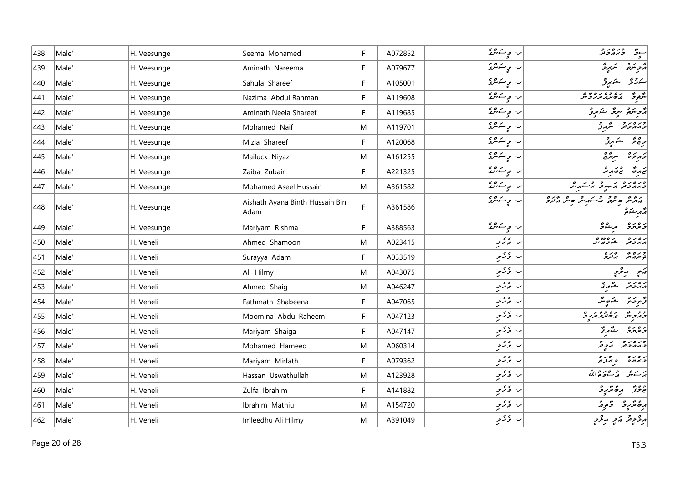| 438 | Male' | H. Veesunge | Seema Mohamed                           | F           | A072852 | ر. په سومبرگا                                  | در در در د<br>  در در در در                                          |
|-----|-------|-------------|-----------------------------------------|-------------|---------|------------------------------------------------|----------------------------------------------------------------------|
| 439 | Male' | H. Veesunge | Aminath Nareema                         | F           | A079677 | ر. په سکوه ی                                   | أأروبتهم التزمريح                                                    |
| 440 | Male' | H. Veesunge | Sahula Shareef                          | F           | A105001 | ر. <sub>مو</sub> سەھدى                         | سروي الشميرو                                                         |
| 441 | Male' | H. Veesunge | Nazima Abdul Rahman                     | F           | A119608 | ر. په سکوه ی                                   | ر ده ده ده ده و د مختلف بازد.<br>سر <sub>ن</sub> جو د کاهه مربرد ش   |
| 442 | Male' | H. Veesunge | Aminath Neela Shareef                   | F           | A119685 | ر. موسنقد                                      | مەدىكە ئېرىگە ئىكرى                                                  |
| 443 | Male' | H. Veesunge | Mohamed Naif                            | M           | A119701 | ر. په په کنگه ک                                | ورەر د شمرتى                                                         |
| 444 | Male' | H. Veesunge | Mizla Shareef                           | $\mathsf F$ | A120068 | ر. په پیکسی                                    | ديجۇ شىرو                                                            |
| 445 | Male' | H. Veesunge | Mailuck Niyaz                           | M           | A161255 | ر. په پسکه شرکه                                | كركر ويحمد المسترجم                                                  |
| 446 | Male' | H. Veesunge | Zaiba Zubair                            | $\mathsf F$ | A221325 | ر. موسكىنىڭ                                    |                                                                      |
| 447 | Male' | H. Veesunge | Mohamed Aseel Hussain                   | ${\sf M}$   | A361582 | ر. وپەنگەنگە                                   | ورەرو كەب ئەسكەر                                                     |
| 448 | Male' | H. Veesunge | Aishath Ayana Binth Hussain Bin<br>Adam | F           | A361586 | $\left  \cdot, \cdot \right\rangle$ ار، موسستر | ם ייעד ג' או ייער פייט ומיטב<br>ەيرىتر<br>  پژ <sub>مر شوی</sub><br> |
| 449 | Male' | H. Veesunge | Mariyam Rishma                          | $\mathsf F$ | A388563 | ر. ۔ جگوری                                     | رەرە برشۇ                                                            |
| 450 | Male' | H. Veheli   | Ahmed Shamoon                           | M           | A023415 | ر کارگو                                        | بر 2 د و.<br>م <i>ر</i> کرونر<br>شە ە دو ە                           |
| 451 | Male' | H. Veheli   | Surayya Adam                            | $\mathsf F$ | A033519 | ر. ءُرُمِ                                      | ج بره بر<br>څو برمرمر<br>پور ہ<br>مرکز                               |
| 452 | Male' | H. Veheli   | Ali Hilmy                               | M           | A043075 | ر. ءُرُوِ                                      | أەيج برقرم                                                           |
| 453 | Male' | H. Veheli   | Ahmed Shaig                             | M           | A046247 | ر، ءُرُمِ                                      | رەرد ش <sup>ې</sup> رد                                               |
| 454 | Male' | H. Veheli   | Fathmath Shabeena                       | F           | A047065 | ر، ءُرُمِ                                      | أزجر حرم فكمنا والمحمد                                               |
| 455 | Male' | H. Veheli   | Moomina Abdul Raheem                    | $\mathsf F$ | A047123 | ر. ءُرُمِ                                      |                                                                      |
| 456 | Male' | H. Veheli   | Mariyam Shaiga                          | $\mathsf F$ | A047147 | ر، ءَڙمِ                                       | دەرە شەرق                                                            |
| 457 | Male' | H. Veheli   | Mohamed Hameed                          | M           | A060314 | ر. ءُرُوِ                                      | ورورو برور                                                           |
| 458 | Male' | H. Veheli   | Mariyam Mirfath                         | F           | A079362 | ر. ءُمَو                                       | د ه د ه د د و د و                                                    |
| 459 | Male' | H. Veheli   | Hassan Uswathullah                      | ${\sf M}$   | A123928 | ر. ءَرْدِ                                      | بزسده برحيحه والله                                                   |
| 460 | Male' | H. Veheli   | Zulfa Ibrahim                           | F           | A141882 | ر. ءُرُوِ                                      | ج څرنه د هغه ده                                                      |
| 461 | Male' | H. Veheli   | Ibrahim Mathiu                          | M           | A154720 | ر. ءُمَعِ                                      |                                                                      |
| 462 | Male' | H. Veheli   | Imleedhu Ali Hilmy                      | ${\sf M}$   | A391049 | ر په عرمو                                      | رووية كمو برود                                                       |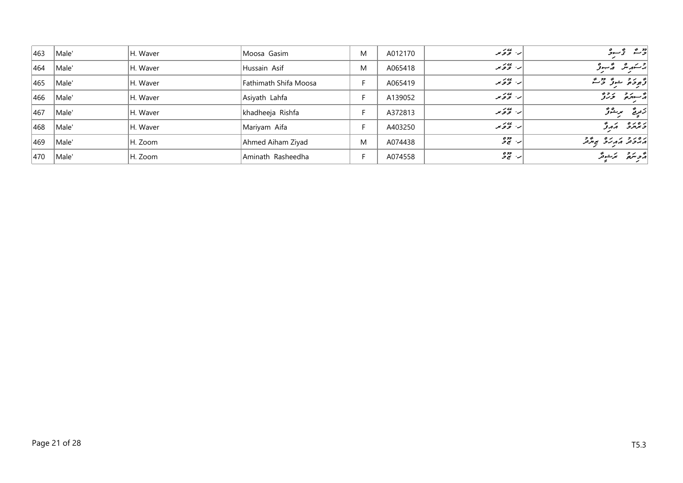| $ 463\rangle$ | Male' | H. Waver | Moosa Gasim           | M | A012170 | ر. به پر  | احز شه ځو ته دی کل                        |
|---------------|-------|----------|-----------------------|---|---------|-----------|-------------------------------------------|
| 464           | Male' | H. Waver | Hussain Asif          | M | A065418 | ر بھی مر  | پرستهریش ویکسهوش                          |
| 465           | Male' | H. Waver | Fathimath Shifa Moosa |   | A065419 | ر. بیمویر | أَوْجِ وَجَمْ فَوْ وَيْتَ فَيْ الْمَدِينَ |
| 466           | Male' | H. Waver | Asiyath Lahfa         |   | A139052 | ر. بیم پر | أثر سنترهى المرواة                        |
| 467           | Male' | H. Waver | khadheeja Rishfa      |   | A372813 | ر بھی مر  | زَمَرِيحٌ مَرَشُوَّرٌ                     |
| 468           | Male' | H. Waver | Mariyam Aifa          |   | A403250 | ر بھی مر  | ئە ئەرە<br>ىردى                           |
| 469           | Male' | H. Zoom  | Ahmed Aiham Ziyad     | M | A074438 | ر به جو و | ג סייך ג גם בית                           |
| 470           | Male' | H. Zoom  | Aminath Rasheedha     |   | A074558 | ر به جو و | أأرد سكافه المرتبونكر                     |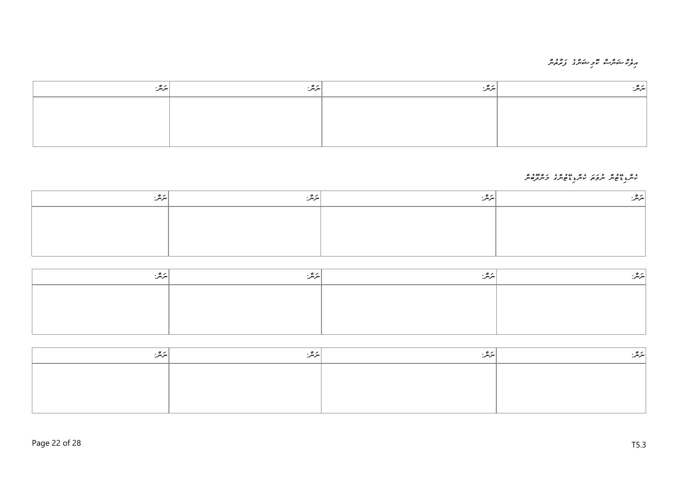## *w7qAn8m? sCw7mRo>u; wEw7mRw;sBo<*

| ' مرمر | 'يئرىثر: |
|--------|----------|
|        |          |
|        |          |
|        |          |

## *w7q9r@w7m> sCw7qHtFoFw7s; mAm=q7 w7qHtFoFw7s;*

| ىر تە | $\mathcal{O} \times$<br>$\sim$ | $\sim$<br>. . | لترنثر |
|-------|--------------------------------|---------------|--------|
|       |                                |               |        |
|       |                                |               |        |
|       |                                |               |        |

| يره | $^{\circ}$ | $\frac{2}{n}$ | $^{\circ}$<br>سرسر. |
|-----|------------|---------------|---------------------|
|     |            |               |                     |
|     |            |               |                     |
|     |            |               |                     |

| ' ئىرتىر: | سر سر |  |
|-----------|-------|--|
|           |       |  |
|           |       |  |
|           |       |  |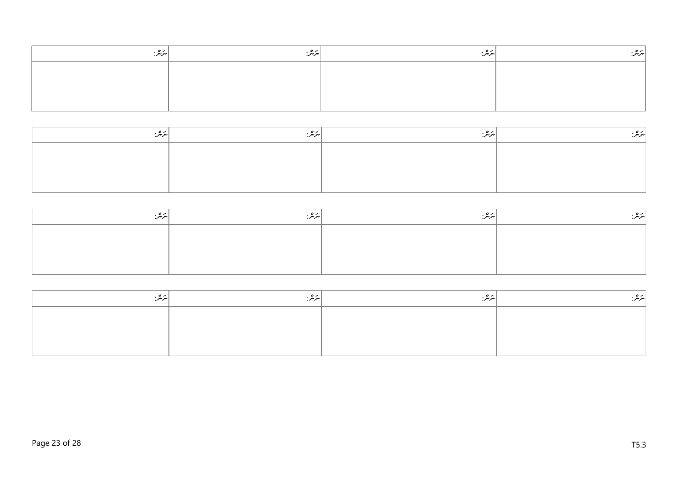| يزهر | $^{\circ}$ | ىئرىتر: |  |
|------|------------|---------|--|
|      |            |         |  |
|      |            |         |  |
|      |            |         |  |

| <sup>.</sup> سرسر. |  |
|--------------------|--|
|                    |  |
|                    |  |
|                    |  |

| ىئرىتر. | $\sim$ | ا بر هه. | لىرىش |
|---------|--------|----------|-------|
|         |        |          |       |
|         |        |          |       |
|         |        |          |       |

| 。<br>مرس. | $\overline{\phantom{a}}$<br>مر مىر | يتريثر |
|-----------|------------------------------------|--------|
|           |                                    |        |
|           |                                    |        |
|           |                                    |        |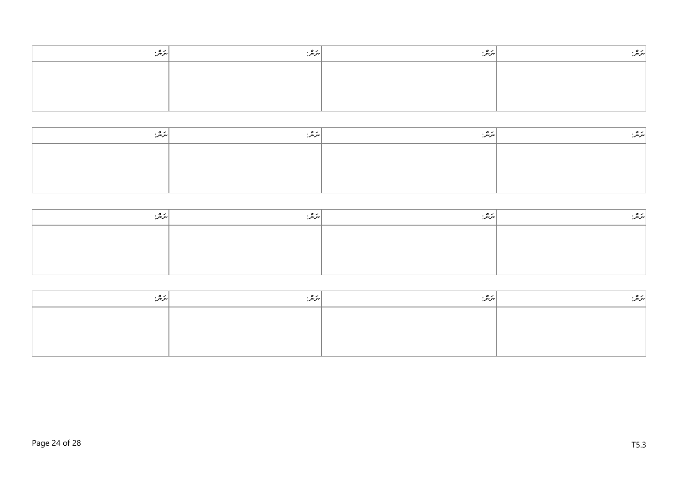| ير هو . | $\overline{\phantom{a}}$ | يرمر | اير هنه. |
|---------|--------------------------|------|----------|
|         |                          |      |          |
|         |                          |      |          |
|         |                          |      |          |

| ىر تىر: | $\circ$ $\sim$<br>" سرسر . | يبرحه | o . |
|---------|----------------------------|-------|-----|
|         |                            |       |     |
|         |                            |       |     |
|         |                            |       |     |

| ابترىثر: | $\sim$<br>. . |  |
|----------|---------------|--|
|          |               |  |
|          |               |  |
|          |               |  |

|  | . ه |
|--|-----|
|  |     |
|  |     |
|  |     |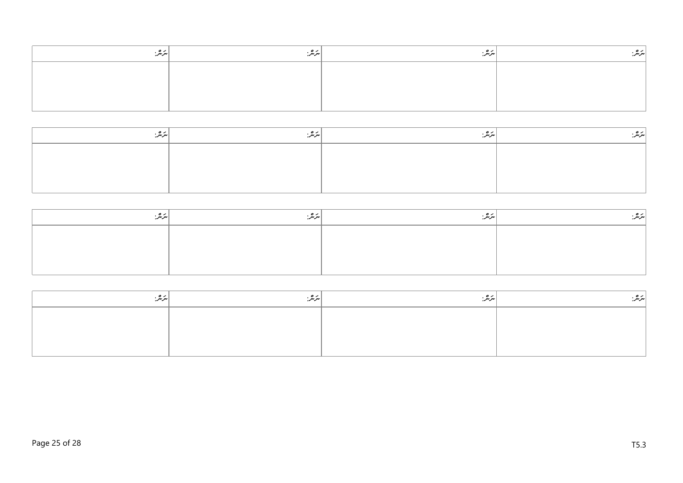| ير هو . | $\overline{\phantom{a}}$ | يرمر | اير هنه. |
|---------|--------------------------|------|----------|
|         |                          |      |          |
|         |                          |      |          |
|         |                          |      |          |

| ىر تىر: | $\circ$ $\sim$<br>" سرسر . | يبرحه | o . |
|---------|----------------------------|-------|-----|
|         |                            |       |     |
|         |                            |       |     |
|         |                            |       |     |

| انترنثر: | ر ه |  |
|----------|-----|--|
|          |     |  |
|          |     |  |
|          |     |  |

|  | . ه |
|--|-----|
|  |     |
|  |     |
|  |     |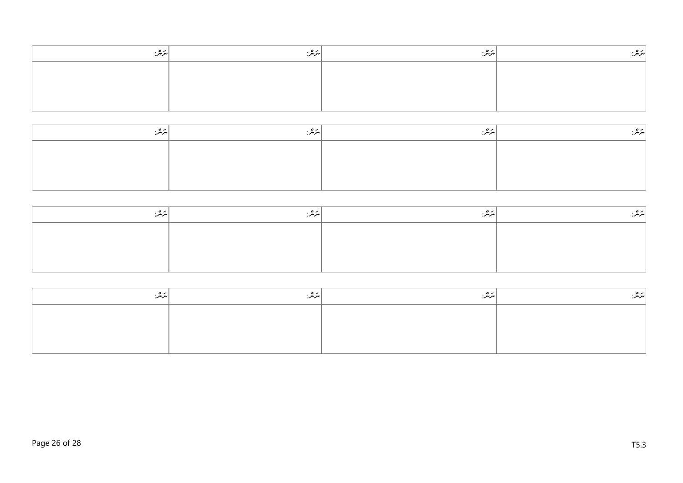| $\cdot$ | ο. | $\frac{\circ}{\cdot}$ | $\sim$<br>سرسر |
|---------|----|-----------------------|----------------|
|         |    |                       |                |
|         |    |                       |                |
|         |    |                       |                |

| يريثن | ' سرسر . |  |
|-------|----------|--|
|       |          |  |
|       |          |  |
|       |          |  |

| بر ه | 。 | $\sim$<br>َ سومس |  |
|------|---|------------------|--|
|      |   |                  |  |
|      |   |                  |  |
|      |   |                  |  |

| 。<br>. س | ىرىىر |  |
|----------|-------|--|
|          |       |  |
|          |       |  |
|          |       |  |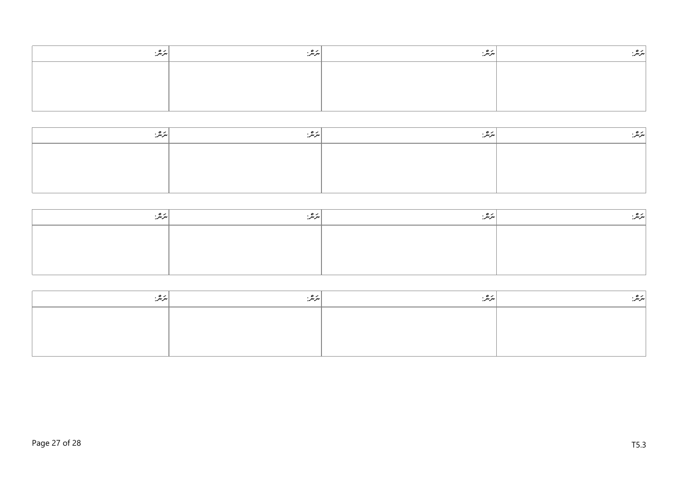| ير هو . | $\overline{\phantom{a}}$ | يرمر | لتزمثن |
|---------|--------------------------|------|--------|
|         |                          |      |        |
|         |                          |      |        |
|         |                          |      |        |

| ئىرتىر: | $\sim$<br>ا سرسر . | يئرمثر | o . |
|---------|--------------------|--------|-----|
|         |                    |        |     |
|         |                    |        |     |
|         |                    |        |     |

| انترنثر: | ر ه |  |
|----------|-----|--|
|          |     |  |
|          |     |  |
|          |     |  |

|  | . ه |
|--|-----|
|  |     |
|  |     |
|  |     |